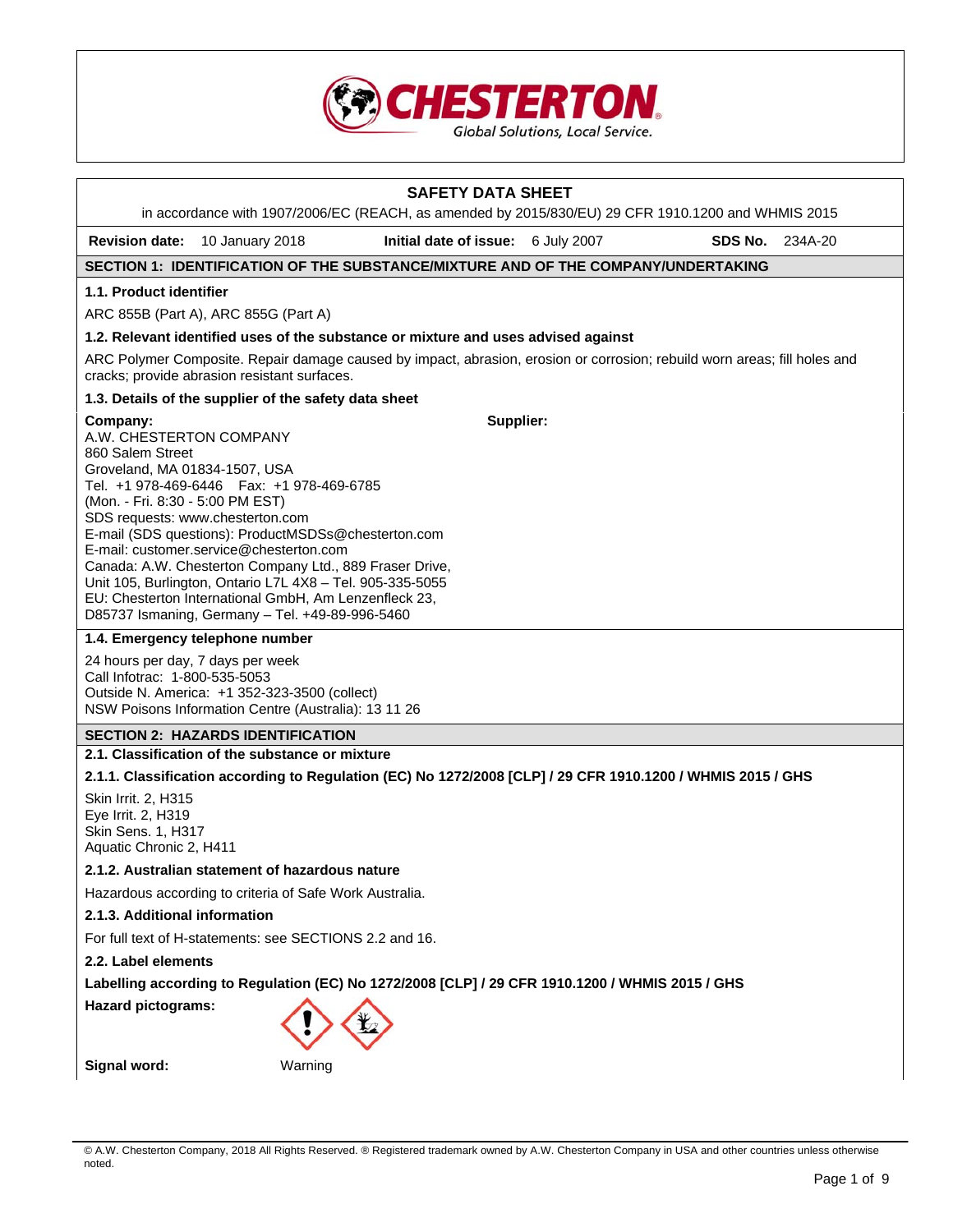

| <b>SAFETY DATA SHEET</b><br>in accordance with 1907/2006/EC (REACH, as amended by 2015/830/EU) 29 CFR 1910.1200 and WHMIS 2015                                                                                                                                                                                                                                                                                                                                                                                                                                     |                                                                                                                                            |                                                                                                                           |  |         |         |
|--------------------------------------------------------------------------------------------------------------------------------------------------------------------------------------------------------------------------------------------------------------------------------------------------------------------------------------------------------------------------------------------------------------------------------------------------------------------------------------------------------------------------------------------------------------------|--------------------------------------------------------------------------------------------------------------------------------------------|---------------------------------------------------------------------------------------------------------------------------|--|---------|---------|
|                                                                                                                                                                                                                                                                                                                                                                                                                                                                                                                                                                    | Revision date: 10 January 2018                                                                                                             | Initial date of issue: 6 July 2007                                                                                        |  | SDS No. | 234A-20 |
|                                                                                                                                                                                                                                                                                                                                                                                                                                                                                                                                                                    |                                                                                                                                            | SECTION 1: IDENTIFICATION OF THE SUBSTANCE/MIXTURE AND OF THE COMPANY/UNDERTAKING                                         |  |         |         |
| 1.1. Product identifier                                                                                                                                                                                                                                                                                                                                                                                                                                                                                                                                            |                                                                                                                                            |                                                                                                                           |  |         |         |
|                                                                                                                                                                                                                                                                                                                                                                                                                                                                                                                                                                    | ARC 855B (Part A), ARC 855G (Part A)                                                                                                       |                                                                                                                           |  |         |         |
|                                                                                                                                                                                                                                                                                                                                                                                                                                                                                                                                                                    |                                                                                                                                            | 1.2. Relevant identified uses of the substance or mixture and uses advised against                                        |  |         |         |
|                                                                                                                                                                                                                                                                                                                                                                                                                                                                                                                                                                    | cracks; provide abrasion resistant surfaces.                                                                                               | ARC Polymer Composite. Repair damage caused by impact, abrasion, erosion or corrosion; rebuild worn areas; fill holes and |  |         |         |
|                                                                                                                                                                                                                                                                                                                                                                                                                                                                                                                                                                    | 1.3. Details of the supplier of the safety data sheet                                                                                      |                                                                                                                           |  |         |         |
| Supplier:<br>Company:<br>A.W. CHESTERTON COMPANY<br>860 Salem Street<br>Groveland, MA 01834-1507, USA<br>Tel. +1 978-469-6446   Fax: +1 978-469-6785<br>(Mon. - Fri. 8:30 - 5:00 PM EST)<br>SDS requests: www.chesterton.com<br>E-mail (SDS questions): ProductMSDSs@chesterton.com<br>E-mail: customer.service@chesterton.com<br>Canada: A.W. Chesterton Company Ltd., 889 Fraser Drive,<br>Unit 105, Burlington, Ontario L7L 4X8 - Tel. 905-335-5055<br>EU: Chesterton International GmbH, Am Lenzenfleck 23,<br>D85737 Ismaning, Germany - Tel. +49-89-996-5460 |                                                                                                                                            |                                                                                                                           |  |         |         |
|                                                                                                                                                                                                                                                                                                                                                                                                                                                                                                                                                                    | 1.4. Emergency telephone number                                                                                                            |                                                                                                                           |  |         |         |
| Call Infotrac: 1-800-535-5053                                                                                                                                                                                                                                                                                                                                                                                                                                                                                                                                      | 24 hours per day, 7 days per week<br>Outside N. America: +1 352-323-3500 (collect)<br>NSW Poisons Information Centre (Australia): 13 11 26 |                                                                                                                           |  |         |         |
|                                                                                                                                                                                                                                                                                                                                                                                                                                                                                                                                                                    | <b>SECTION 2: HAZARDS IDENTIFICATION</b>                                                                                                   |                                                                                                                           |  |         |         |
|                                                                                                                                                                                                                                                                                                                                                                                                                                                                                                                                                                    | 2.1. Classification of the substance or mixture                                                                                            |                                                                                                                           |  |         |         |
|                                                                                                                                                                                                                                                                                                                                                                                                                                                                                                                                                                    |                                                                                                                                            | 2.1.1. Classification according to Regulation (EC) No 1272/2008 [CLP] / 29 CFR 1910.1200 / WHMIS 2015 / GHS               |  |         |         |
| Skin Irrit. 2, H315<br>Eye Irrit. 2, H319<br>Skin Sens. 1, H317<br>Aquatic Chronic 2, H411                                                                                                                                                                                                                                                                                                                                                                                                                                                                         |                                                                                                                                            |                                                                                                                           |  |         |         |
| 2.1.2. Australian statement of hazardous nature                                                                                                                                                                                                                                                                                                                                                                                                                                                                                                                    |                                                                                                                                            |                                                                                                                           |  |         |         |
| Hazardous according to criteria of Safe Work Australia.                                                                                                                                                                                                                                                                                                                                                                                                                                                                                                            |                                                                                                                                            |                                                                                                                           |  |         |         |
| 2.1.3. Additional information                                                                                                                                                                                                                                                                                                                                                                                                                                                                                                                                      |                                                                                                                                            |                                                                                                                           |  |         |         |
|                                                                                                                                                                                                                                                                                                                                                                                                                                                                                                                                                                    | For full text of H-statements: see SECTIONS 2.2 and 16.                                                                                    |                                                                                                                           |  |         |         |
|                                                                                                                                                                                                                                                                                                                                                                                                                                                                                                                                                                    | 2.2. Label elements                                                                                                                        |                                                                                                                           |  |         |         |
| Labelling according to Regulation (EC) No 1272/2008 [CLP] / 29 CFR 1910.1200 / WHMIS 2015 / GHS                                                                                                                                                                                                                                                                                                                                                                                                                                                                    |                                                                                                                                            |                                                                                                                           |  |         |         |
| <b>Hazard pictograms:</b>                                                                                                                                                                                                                                                                                                                                                                                                                                                                                                                                          |                                                                                                                                            |                                                                                                                           |  |         |         |
| Signal word:                                                                                                                                                                                                                                                                                                                                                                                                                                                                                                                                                       | Warning                                                                                                                                    |                                                                                                                           |  |         |         |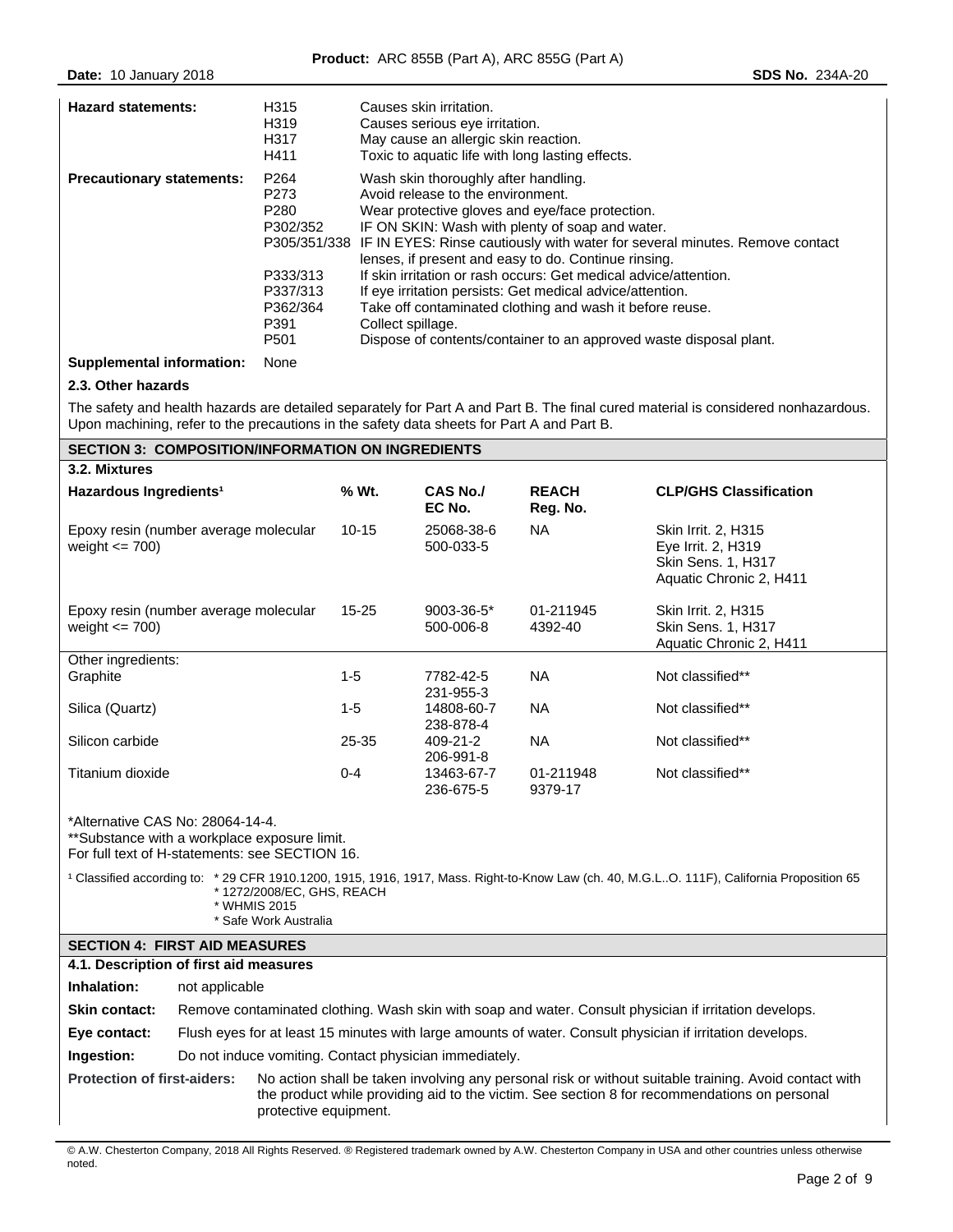| <b>Hazard statements:</b>        | H315<br>H319<br>H317<br>H411                                         | Causes skin irritation.<br>Causes serious eye irritation.<br>May cause an allergic skin reaction.<br>Toxic to aquatic life with long lasting effects.                                                                                                                                                                                                                                                   |
|----------------------------------|----------------------------------------------------------------------|---------------------------------------------------------------------------------------------------------------------------------------------------------------------------------------------------------------------------------------------------------------------------------------------------------------------------------------------------------------------------------------------------------|
| <b>Precautionary statements:</b> | P <sub>264</sub><br>P273<br>P <sub>280</sub><br>P302/352<br>P333/313 | Wash skin thoroughly after handling.<br>Avoid release to the environment.<br>Wear protective gloves and eye/face protection.<br>IF ON SKIN: Wash with plenty of soap and water.<br>P305/351/338 IF IN EYES: Rinse cautiously with water for several minutes. Remove contact<br>lenses, if present and easy to do. Continue rinsing.<br>If skin irritation or rash occurs: Get medical advice/attention. |
|                                  | P337/313<br>P362/364<br>P391<br>P501                                 | If eye irritation persists: Get medical advice/attention.<br>Take off contaminated clothing and wash it before reuse.<br>Collect spillage.<br>Dispose of contents/container to an approved waste disposal plant.                                                                                                                                                                                        |

# **Supplemental information:** None

# **2.3. Other hazards**

The safety and health hazards are detailed separately for Part A and Part B. The final cured material is considered nonhazardous. Upon machining, refer to the precautions in the safety data sheets for Part A and Part B.

| <b>SECTION 3: COMPOSITION/INFORMATION ON INGREDIENTS</b>                                                                           |           |                           |                          |                                                                                                          |  |  |  |
|------------------------------------------------------------------------------------------------------------------------------------|-----------|---------------------------|--------------------------|----------------------------------------------------------------------------------------------------------|--|--|--|
| 3.2. Mixtures                                                                                                                      |           |                           |                          |                                                                                                          |  |  |  |
| Hazardous Ingredients <sup>1</sup>                                                                                                 | % Wt.     | <b>CAS No./</b><br>EC No. | <b>REACH</b><br>Reg. No. | <b>CLP/GHS Classification</b>                                                                            |  |  |  |
| Epoxy resin (number average molecular<br>weight $\leq$ 700)                                                                        | $10 - 15$ | 25068-38-6<br>500-033-5   | NA.                      | <b>Skin Irrit. 2, H315</b><br>Eye Irrit. 2, H319<br><b>Skin Sens. 1, H317</b><br>Aquatic Chronic 2, H411 |  |  |  |
| Epoxy resin (number average molecular<br>weight $\leq$ 700)                                                                        | 15-25     | 9003-36-5*<br>500-006-8   | 01-211945<br>4392-40     | Skin Irrit. 2, H315<br>Skin Sens. 1, H317<br>Aquatic Chronic 2, H411                                     |  |  |  |
| Other ingredients:                                                                                                                 |           |                           |                          |                                                                                                          |  |  |  |
| Graphite                                                                                                                           | $1 - 5$   | 7782-42-5<br>231-955-3    | NA.                      | Not classified**                                                                                         |  |  |  |
| Silica (Quartz)                                                                                                                    | $1-5$     | 14808-60-7<br>238-878-4   | NA.                      | Not classified**                                                                                         |  |  |  |
| Silicon carbide                                                                                                                    | 25-35     | 409-21-2<br>206-991-8     | NA.                      | Not classified**                                                                                         |  |  |  |
| Titanium dioxide                                                                                                                   | $0 - 4$   | 13463-67-7<br>236-675-5   | 01-211948<br>9379-17     | Not classified**                                                                                         |  |  |  |
| *Alternative CAS No: 28064-14-4.<br>**Substance with a workplace exposure limit.<br>For full text of H-statements: see SECTION 16. |           |                           |                          |                                                                                                          |  |  |  |

| <sup>1</sup> Classified according to: * 29 CFR 1910.1200, 1915, 1916, 1917, Mass. Right-to-Know Law (ch. 40, M.G.LO. 111F), California Proposition 65 |
|-------------------------------------------------------------------------------------------------------------------------------------------------------|
| * 1272/2008/EC. GHS. REACH                                                                                                                            |
| 1.111111110000117                                                                                                                                     |

| * WHMIS 2015          |
|-----------------------|
| * Safe Work Australia |

# **SECTION 4: FIRST AID MEASURES**

| 4.1. Description of first aid measures |                |                                                                                                                                                                                                                                |  |  |
|----------------------------------------|----------------|--------------------------------------------------------------------------------------------------------------------------------------------------------------------------------------------------------------------------------|--|--|
| Inhalation:                            | not applicable |                                                                                                                                                                                                                                |  |  |
| <b>Skin contact:</b>                   |                | Remove contaminated clothing. Wash skin with soap and water. Consult physician if irritation develops.                                                                                                                         |  |  |
| Eye contact:                           |                | Flush eyes for at least 15 minutes with large amounts of water. Consult physician if irritation develops.                                                                                                                      |  |  |
| Ingestion:                             |                | Do not induce vomiting. Contact physician immediately.                                                                                                                                                                         |  |  |
| <b>Protection of first-aiders:</b>     |                | No action shall be taken involving any personal risk or without suitable training. Avoid contact with<br>the product while providing aid to the victim. See section 8 for recommendations on personal<br>protective equipment. |  |  |

© A.W. Chesterton Company, 2018 All Rights Reserved. ® Registered trademark owned by A.W. Chesterton Company in USA and other countries unless otherwise noted.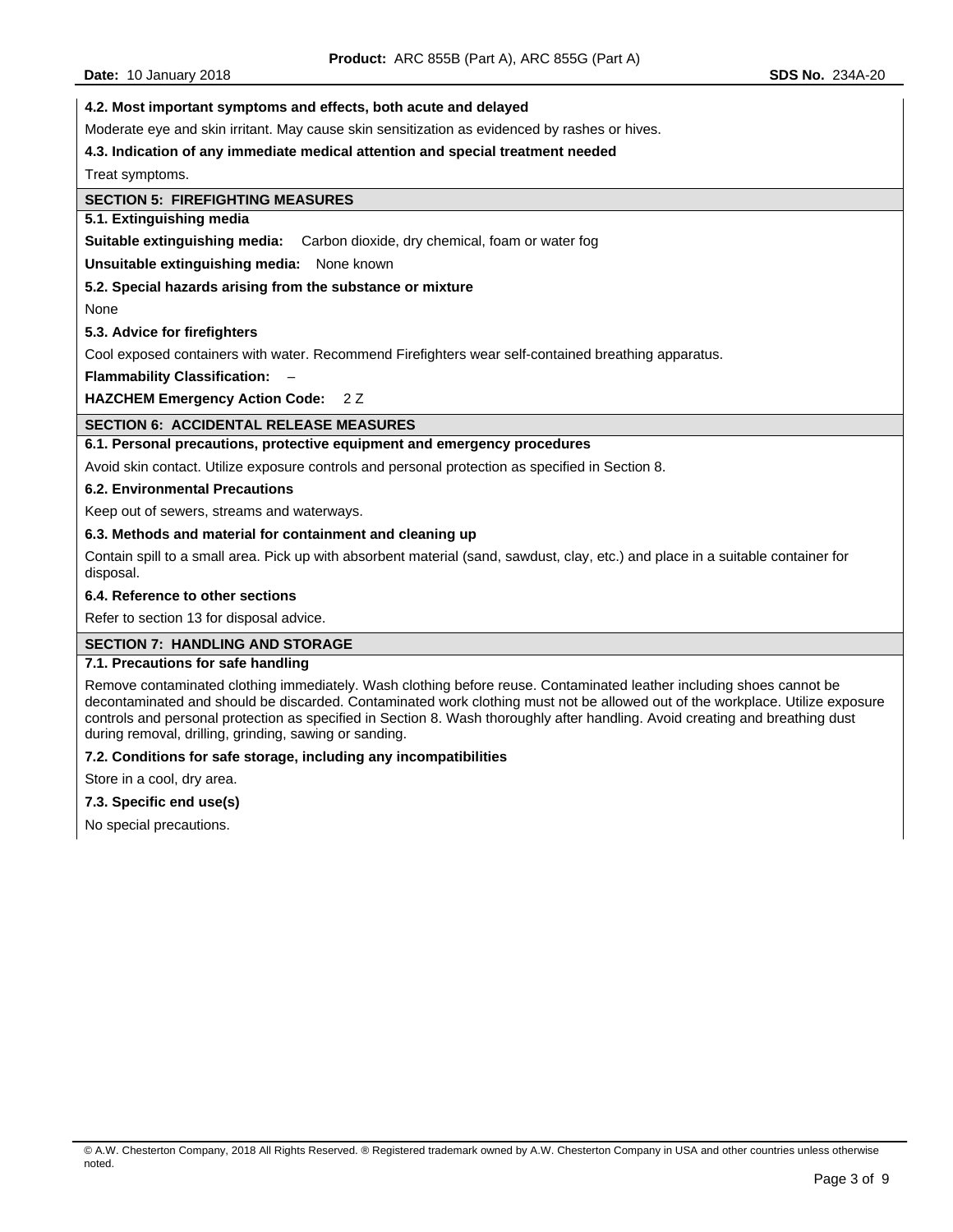**Date:** 10 January 2018 **SDS No.** 234A-20

#### **4.2. Most important symptoms and effects, both acute and delayed**

Moderate eye and skin irritant. May cause skin sensitization as evidenced by rashes or hives.

#### **4.3. Indication of any immediate medical attention and special treatment needed**

Treat symptoms.

## **SECTION 5: FIREFIGHTING MEASURES**

#### **5.1. Extinguishing media**

**Suitable extinguishing media:** Carbon dioxide, dry chemical, foam or water fog

#### **Unsuitable extinguishing media:** None known

#### **5.2. Special hazards arising from the substance or mixture**

None

#### **5.3. Advice for firefighters**

Cool exposed containers with water. Recommend Firefighters wear self-contained breathing apparatus.

**Flammability Classification:** –

**HAZCHEM Emergency Action Code:** 2 Z

## **SECTION 6: ACCIDENTAL RELEASE MEASURES**

#### **6.1. Personal precautions, protective equipment and emergency procedures**

Avoid skin contact. Utilize exposure controls and personal protection as specified in Section 8.

#### **6.2. Environmental Precautions**

Keep out of sewers, streams and waterways.

#### **6.3. Methods and material for containment and cleaning up**

Contain spill to a small area. Pick up with absorbent material (sand, sawdust, clay, etc.) and place in a suitable container for disposal.

#### **6.4. Reference to other sections**

Refer to section 13 for disposal advice.

## **SECTION 7: HANDLING AND STORAGE**

## **7.1. Precautions for safe handling**

Remove contaminated clothing immediately. Wash clothing before reuse. Contaminated leather including shoes cannot be decontaminated and should be discarded. Contaminated work clothing must not be allowed out of the workplace. Utilize exposure controls and personal protection as specified in Section 8. Wash thoroughly after handling. Avoid creating and breathing dust during removal, drilling, grinding, sawing or sanding.

## **7.2. Conditions for safe storage, including any incompatibilities**

Store in a cool, dry area.

## **7.3. Specific end use(s)**

No special precautions.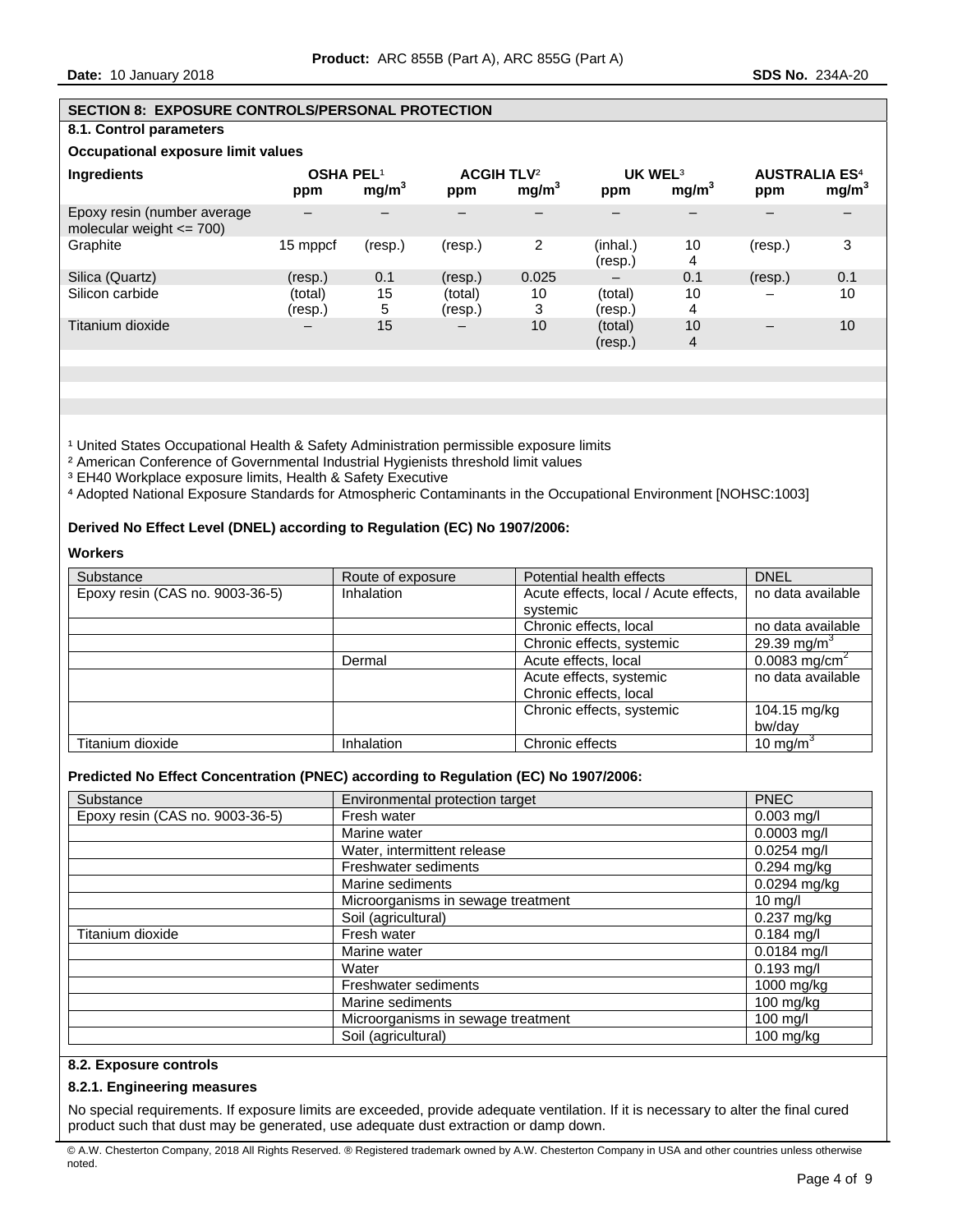#### **SECTION 8: EXPOSURE CONTROLS/PERSONAL PROTECTION**

# **8.1. Control parameters**

# **Occupational exposure limit values**

| <b>Ingredients</b>                                          | <b>OSHA PEL1</b><br>ppm | mg/m <sup>3</sup> | <b>ACGIH TLV<sup>2</sup></b><br>ppm | mg/m <sup>3</sup> | UK WEL <sup>3</sup><br>ppm | mg/m <sup>3</sup> | <b>AUSTRALIA ES<sup>4</sup></b><br>ppm | mg/m <sup>3</sup> |
|-------------------------------------------------------------|-------------------------|-------------------|-------------------------------------|-------------------|----------------------------|-------------------|----------------------------------------|-------------------|
| Epoxy resin (number average<br>molecular weight $\leq$ 700) |                         |                   |                                     |                   |                            |                   |                                        |                   |
| Graphite                                                    | 15 mppcf                | (resp.)           | (resp.)                             | 2                 | (inhal.)<br>(resp.)        | 10<br>4           | (resp.)                                | っ                 |
| Silica (Quartz)                                             | (resp.)                 | 0.1               | (resp.)                             | 0.025             |                            | 0.1               | (resp.)                                | 0.1               |
| Silicon carbide                                             | (total)<br>(resp.)      | 15<br>5           | (total)<br>(resp.)                  | 10<br>3           | (total)<br>(resp.)         | 10<br>4           |                                        | 10                |
| Titanium dioxide                                            | -                       | 15                | $\overline{\phantom{m}}$            | 10                | (total)<br>(resp.)         | 10<br>4           |                                        | 10                |

<sup>1</sup> United States Occupational Health & Safety Administration permissible exposure limits

² American Conference of Governmental Industrial Hygienists threshold limit values

<sup>3</sup> EH40 Workplace exposure limits, Health & Safety Executive

⁴ Adopted National Exposure Standards for Atmospheric Contaminants in the Occupational Environment [NOHSC:1003]

## **Derived No Effect Level (DNEL) according to Regulation (EC) No 1907/2006:**

#### **Workers**

| Substance                       | Route of exposure              | Potential health effects              | <b>DNEL</b>               |
|---------------------------------|--------------------------------|---------------------------------------|---------------------------|
| Epoxy resin (CAS no. 9003-36-5) | <b>Inhalation</b>              | Acute effects, local / Acute effects, | no data available         |
|                                 |                                | systemic                              |                           |
|                                 |                                | Chronic effects, local                | no data available         |
|                                 |                                | Chronic effects, systemic             | 29.39 mg/m <sup>3</sup>   |
|                                 | Acute effects, local<br>Dermal |                                       | 0.0083 mg/cm <sup>2</sup> |
|                                 |                                | Acute effects, systemic               | no data available         |
|                                 |                                | Chronic effects, local                |                           |
|                                 |                                | Chronic effects, systemic             | 104.15 mg/kg              |
|                                 |                                |                                       | bw/dav                    |
| Titanium dioxide                | <b>Inhalation</b>              | Chronic effects                       | 10 mg/m <sup>3</sup>      |

## **Predicted No Effect Concentration (PNEC) according to Regulation (EC) No 1907/2006:**

| Substance                       | Environmental protection target    | <b>PNEC</b>         |
|---------------------------------|------------------------------------|---------------------|
| Epoxy resin (CAS no. 9003-36-5) | Fresh water                        | $0.003$ mg/l        |
|                                 | Marine water                       | $0.0003$ mg/l       |
|                                 | Water, intermittent release        | $0.0254$ mg/l       |
|                                 | <b>Freshwater sediments</b>        | 0.294 mg/kg         |
|                                 | Marine sediments                   | $0.0294$ mg/kg      |
|                                 | Microorganisms in sewage treatment | $10 \text{ m}$ g/l  |
|                                 | Soil (agricultural)                | 0.237 mg/kg         |
| Titanium dioxide                | Fresh water                        | $0.184$ mg/l        |
|                                 | Marine water                       | $0.0184$ mg/l       |
|                                 | Water                              | $0.193$ mg/l        |
|                                 | <b>Freshwater sediments</b>        | 1000 mg/kg          |
|                                 | Marine sediments                   | $100 \text{ mq/kg}$ |
|                                 | Microorganisms in sewage treatment | 100 mg/l            |
|                                 | Soil (agricultural)                | 100 mg/kg           |

# **8.2. Exposure controls**

## **8.2.1. Engineering measures**

No special requirements. If exposure limits are exceeded, provide adequate ventilation. If it is necessary to alter the final cured product such that dust may be generated, use adequate dust extraction or damp down.

<sup>©</sup> A.W. Chesterton Company, 2018 All Rights Reserved. ® Registered trademark owned by A.W. Chesterton Company in USA and other countries unless otherwise noted.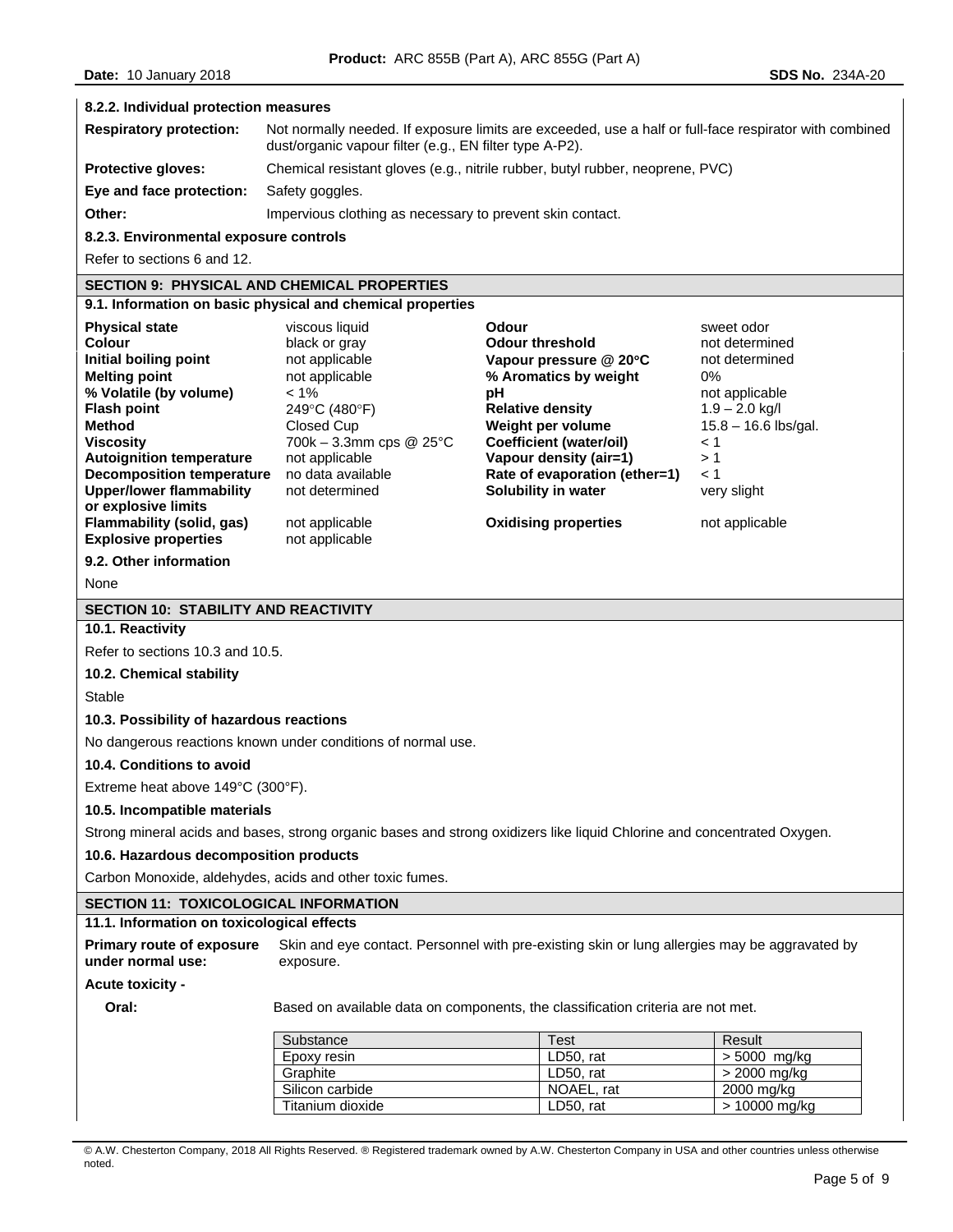#### **8.2.2. Individual protection measures**

| <b>Respiratory protection:</b> | Not normally needed. If exposure limits are exceeded, use a half or full-face respirator with combined<br>dust/organic vapour filter (e.g., EN filter type A-P2). |
|--------------------------------|-------------------------------------------------------------------------------------------------------------------------------------------------------------------|
| <b>Protective gloves:</b>      | Chemical resistant gloves (e.g., nitrile rubber, butyl rubber, neoprene, PVC)                                                                                     |
| Eye and face protection:       | Safety goggles.                                                                                                                                                   |
| Other:                         | Impervious clothing as necessary to prevent skin contact.                                                                                                         |

#### **8.2.3. Environmental exposure controls**

Refer to sections 6 and 12.

# **SECTION 9: PHYSICAL AND CHEMICAL PROPERTIES**

## **9.1. Information on basic physical and chemical properties**

| <b>Physical state</b>                                                                                                                                                              | viscous liquid                                                                            | Odour                                                                                                         | sweet odor                                      |
|------------------------------------------------------------------------------------------------------------------------------------------------------------------------------------|-------------------------------------------------------------------------------------------|---------------------------------------------------------------------------------------------------------------|-------------------------------------------------|
| Colour                                                                                                                                                                             | black or gray                                                                             | <b>Odour threshold</b>                                                                                        | not determined                                  |
| Initial boiling point                                                                                                                                                              | not applicable                                                                            | Vapour pressure $@$ 20 $°C$                                                                                   | not determined                                  |
| <b>Melting point</b>                                                                                                                                                               | not applicable                                                                            | % Aromatics by weight                                                                                         | 0%                                              |
| % Volatile (by volume)                                                                                                                                                             | $< 1\%$                                                                                   | рH                                                                                                            | not applicable                                  |
| <b>Flash point</b>                                                                                                                                                                 | 249°C (480°F)                                                                             | <b>Relative density</b>                                                                                       | $1.9 - 2.0$ kg/l                                |
| <b>Method</b>                                                                                                                                                                      | Closed Cup                                                                                | Weight per volume                                                                                             | $15.8 - 16.6$ lbs/gal.                          |
| <b>Viscosity</b>                                                                                                                                                                   | 700k – 3.3mm cps @ $25^{\circ}$ C                                                         | Coefficient (water/oil)                                                                                       | $\leq 1$                                        |
| <b>Autoignition temperature</b><br>Decomposition temperature<br><b>Upper/lower flammability</b><br>or explosive limits<br>Flammability (solid, gas)<br><b>Explosive properties</b> | not applicable<br>no data available<br>not determined<br>not applicable<br>not applicable | Vapour density (air=1)<br>Rate of evaporation (ether=1)<br>Solubility in water<br><b>Oxidising properties</b> | >1<br>$\leq 1$<br>very slight<br>not applicable |

#### **9.2. Other information**

None

# **SECTION 10: STABILITY AND REACTIVITY**

# **10.1. Reactivity**

Refer to sections 10.3 and 10.5.

#### **10.2. Chemical stability**

Stable

#### **10.3. Possibility of hazardous reactions**

No dangerous reactions known under conditions of normal use.

#### **10.4. Conditions to avoid**

Extreme heat above 149°C (300°F).

#### **10.5. Incompatible materials**

Strong mineral acids and bases, strong organic bases and strong oxidizers like liquid Chlorine and concentrated Oxygen.

# **10.6. Hazardous decomposition products**

Carbon Monoxide, aldehydes, acids and other toxic fumes.

## **SECTION 11: TOXICOLOGICAL INFORMATION**

## **11.1. Information on toxicological effects**

**Primary route of exposure under normal use:**  Skin and eye contact. Personnel with pre-existing skin or lung allergies may be aggravated by exposure.

#### **Acute toxicity -**

**Oral:** Based on available data on components, the classification criteria are not met.

| Substance        | Test       | Result        |
|------------------|------------|---------------|
| Epoxy resin      | LD50. rat  | > 5000 mg/kg  |
| Graphite         | LD50. rat  | > 2000 mg/kg  |
| Silicon carbide  | NOAEL, rat | 2000 mg/kg    |
| Titanium dioxide | LD50. rat  | > 10000 mg/kg |

© A.W. Chesterton Company, 2018 All Rights Reserved. ® Registered trademark owned by A.W. Chesterton Company in USA and other countries unless otherwise noted.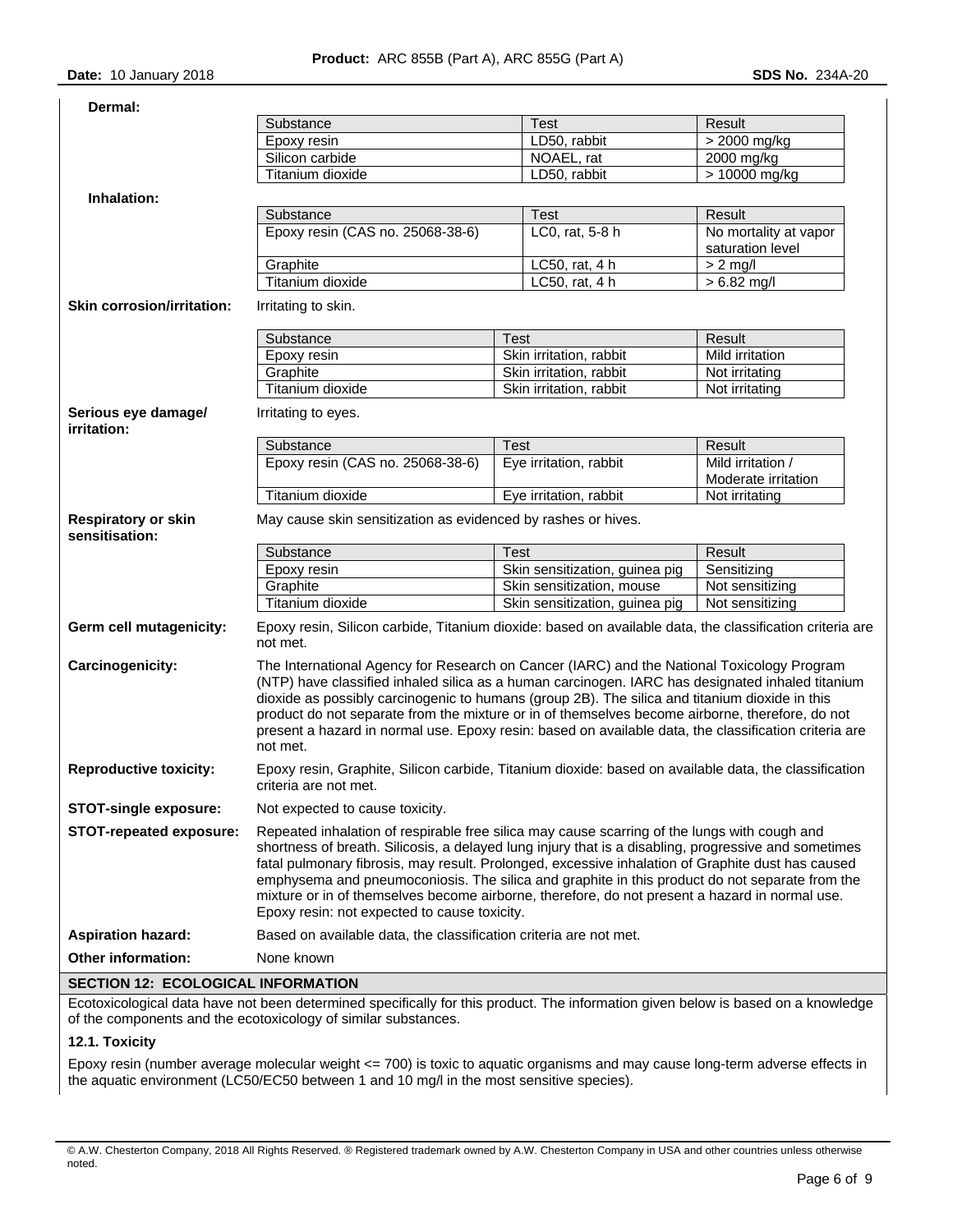|  |  | $SDS$ No. $234A$ |  |
|--|--|------------------|--|

| Dermal:                                                  |                                                                                                                                                                                                                                                                                                                                                                                                                                                                                                                                                               |                                |                                           |
|----------------------------------------------------------|---------------------------------------------------------------------------------------------------------------------------------------------------------------------------------------------------------------------------------------------------------------------------------------------------------------------------------------------------------------------------------------------------------------------------------------------------------------------------------------------------------------------------------------------------------------|--------------------------------|-------------------------------------------|
|                                                          | Substance                                                                                                                                                                                                                                                                                                                                                                                                                                                                                                                                                     | <b>Test</b>                    | Result                                    |
|                                                          | Epoxy resin                                                                                                                                                                                                                                                                                                                                                                                                                                                                                                                                                   | LD50, rabbit                   | > 2000 mg/kg                              |
|                                                          | Silicon carbide                                                                                                                                                                                                                                                                                                                                                                                                                                                                                                                                               | NOAEL, rat                     | 2000 mg/kg                                |
|                                                          | Titanium dioxide                                                                                                                                                                                                                                                                                                                                                                                                                                                                                                                                              | LD50, rabbit                   | $>10000$ mg/kg                            |
| Inhalation:                                              |                                                                                                                                                                                                                                                                                                                                                                                                                                                                                                                                                               |                                |                                           |
|                                                          | Substance                                                                                                                                                                                                                                                                                                                                                                                                                                                                                                                                                     | Test                           | Result                                    |
|                                                          | Epoxy resin (CAS no. 25068-38-6)                                                                                                                                                                                                                                                                                                                                                                                                                                                                                                                              | LC0, rat, 5-8 h                | No mortality at vapor<br>saturation level |
|                                                          | Graphite                                                                                                                                                                                                                                                                                                                                                                                                                                                                                                                                                      | LC50, rat, 4 h                 | $> 2$ mg/l                                |
|                                                          | Titanium dioxide                                                                                                                                                                                                                                                                                                                                                                                                                                                                                                                                              | LC50, rat, 4 h                 | $> 6.82$ mg/l                             |
| <b>Skin corrosion/irritation:</b><br>Irritating to skin. |                                                                                                                                                                                                                                                                                                                                                                                                                                                                                                                                                               |                                |                                           |
|                                                          | Substance                                                                                                                                                                                                                                                                                                                                                                                                                                                                                                                                                     | Test                           | Result                                    |
|                                                          | Epoxy resin                                                                                                                                                                                                                                                                                                                                                                                                                                                                                                                                                   | Skin irritation, rabbit        | Mild irritation                           |
|                                                          | Graphite                                                                                                                                                                                                                                                                                                                                                                                                                                                                                                                                                      | Skin irritation, rabbit        | Not irritating                            |
|                                                          | Titanium dioxide                                                                                                                                                                                                                                                                                                                                                                                                                                                                                                                                              | Skin irritation, rabbit        | Not irritating                            |
| Serious eye damage/<br>irritation:                       | Irritating to eyes.                                                                                                                                                                                                                                                                                                                                                                                                                                                                                                                                           |                                |                                           |
|                                                          | Substance                                                                                                                                                                                                                                                                                                                                                                                                                                                                                                                                                     | Test                           | Result                                    |
|                                                          | Epoxy resin (CAS no. 25068-38-6)                                                                                                                                                                                                                                                                                                                                                                                                                                                                                                                              | Eye irritation, rabbit         | Mild irritation /                         |
|                                                          |                                                                                                                                                                                                                                                                                                                                                                                                                                                                                                                                                               |                                | Moderate irritation                       |
|                                                          | Titanium dioxide                                                                                                                                                                                                                                                                                                                                                                                                                                                                                                                                              | Eye irritation, rabbit         | Not irritating                            |
| <b>Respiratory or skin</b><br>sensitisation:             | May cause skin sensitization as evidenced by rashes or hives.                                                                                                                                                                                                                                                                                                                                                                                                                                                                                                 |                                |                                           |
|                                                          | Substance                                                                                                                                                                                                                                                                                                                                                                                                                                                                                                                                                     | Test                           | Result                                    |
|                                                          | Epoxy resin                                                                                                                                                                                                                                                                                                                                                                                                                                                                                                                                                   | Skin sensitization, guinea pig | Sensitizing                               |
|                                                          | Graphite                                                                                                                                                                                                                                                                                                                                                                                                                                                                                                                                                      | Skin sensitization, mouse      | Not sensitizing                           |
|                                                          |                                                                                                                                                                                                                                                                                                                                                                                                                                                                                                                                                               |                                |                                           |
|                                                          | Titanium dioxide                                                                                                                                                                                                                                                                                                                                                                                                                                                                                                                                              | Skin sensitization, guinea pig | Not sensitizing                           |
| Germ cell mutagenicity:                                  | Epoxy resin, Silicon carbide, Titanium dioxide: based on available data, the classification criteria are<br>not met.                                                                                                                                                                                                                                                                                                                                                                                                                                          |                                |                                           |
| Carcinogenicity:                                         | The International Agency for Research on Cancer (IARC) and the National Toxicology Program<br>(NTP) have classified inhaled silica as a human carcinogen. IARC has designated inhaled titanium<br>dioxide as possibly carcinogenic to humans (group 2B). The silica and titanium dioxide in this<br>product do not separate from the mixture or in of themselves become airborne, therefore, do not<br>present a hazard in normal use. Epoxy resin: based on available data, the classification criteria are<br>not met.                                      |                                |                                           |
| <b>Reproductive toxicity:</b>                            | Epoxy resin, Graphite, Silicon carbide, Titanium dioxide: based on available data, the classification<br>criteria are not met.                                                                                                                                                                                                                                                                                                                                                                                                                                |                                |                                           |
| <b>STOT-single exposure:</b>                             | Not expected to cause toxicity.                                                                                                                                                                                                                                                                                                                                                                                                                                                                                                                               |                                |                                           |
| STOT-repeated exposure:                                  | Repeated inhalation of respirable free silica may cause scarring of the lungs with cough and<br>shortness of breath. Silicosis, a delayed lung injury that is a disabling, progressive and sometimes<br>fatal pulmonary fibrosis, may result. Prolonged, excessive inhalation of Graphite dust has caused<br>emphysema and pneumoconiosis. The silica and graphite in this product do not separate from the<br>mixture or in of themselves become airborne, therefore, do not present a hazard in normal use.<br>Epoxy resin: not expected to cause toxicity. |                                |                                           |
| <b>Aspiration hazard:</b>                                | Based on available data, the classification criteria are not met.                                                                                                                                                                                                                                                                                                                                                                                                                                                                                             |                                |                                           |
| Other information:                                       | None known                                                                                                                                                                                                                                                                                                                                                                                                                                                                                                                                                    |                                |                                           |

. **INFORMATI** 

Ecotoxicological data have not been determined specifically for this product. The information given below is based on a knowledge of the components and the ecotoxicology of similar substances.

#### **12.1. Toxicity**

Epoxy resin (number average molecular weight <= 700) is toxic to aquatic organisms and may cause long-term adverse effects in the aquatic environment (LC50/EC50 between 1 and 10 mg/l in the most sensitive species).

<sup>©</sup> A.W. Chesterton Company, 2018 All Rights Reserved. ® Registered trademark owned by A.W. Chesterton Company in USA and other countries unless otherwise noted.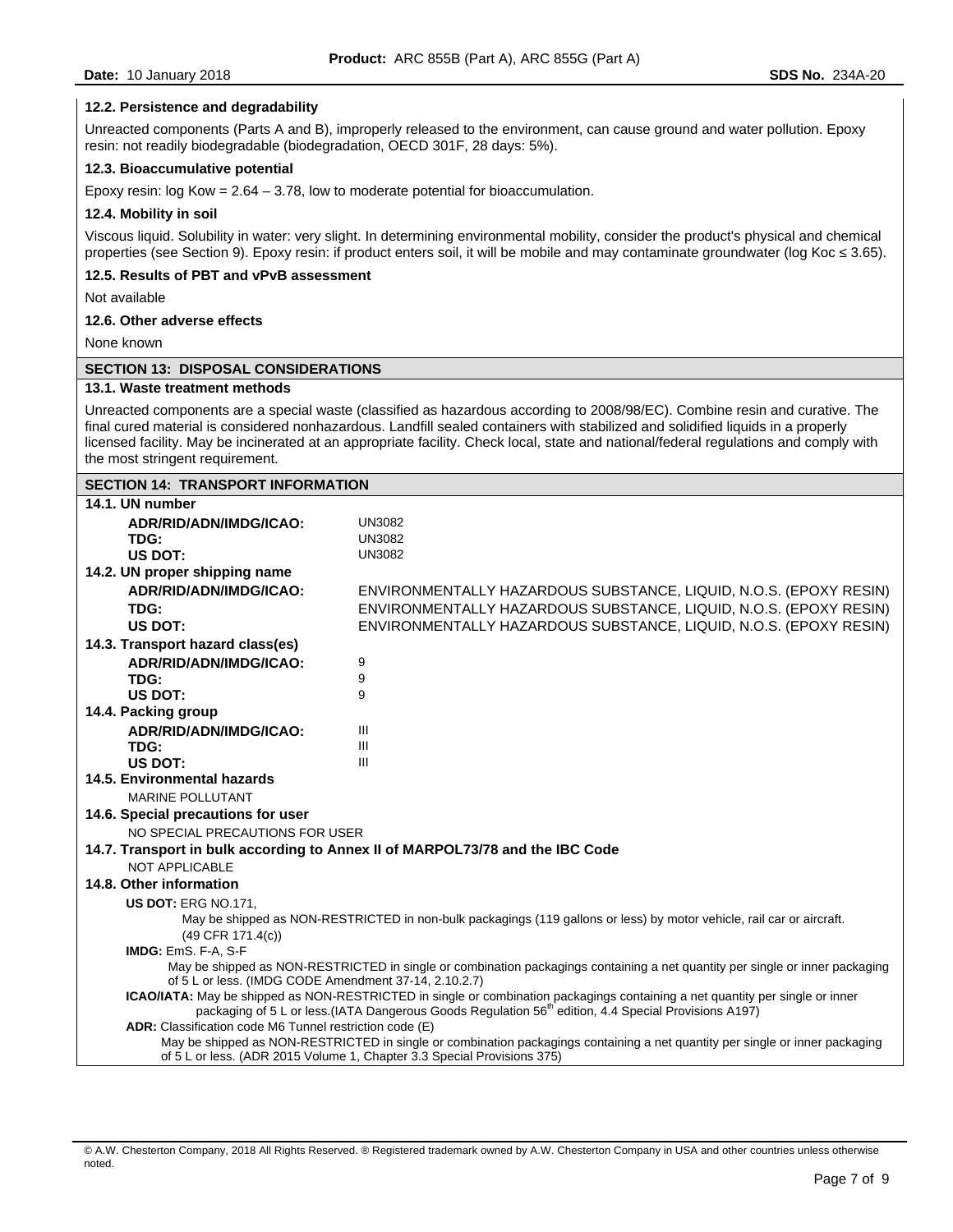#### **12.2. Persistence and degradability**

Unreacted components (Parts A and B), improperly released to the environment, can cause ground and water pollution. Epoxy resin: not readily biodegradable (biodegradation, OECD 301F, 28 days: 5%).

#### **12.3. Bioaccumulative potential**

Epoxy resin:  $log Kow = 2.64 - 3.78$ , low to moderate potential for bioaccumulation.

#### **12.4. Mobility in soil**

Viscous liquid. Solubility in water: very slight. In determining environmental mobility, consider the product's physical and chemical properties (see Section 9). Epoxy resin: if product enters soil, it will be mobile and may contaminate groundwater (log Koc ≤ 3.65).

#### **12.5. Results of PBT and vPvB assessment**

Not available

#### **12.6. Other adverse effects**

None known

## **SECTION 13: DISPOSAL CONSIDERATIONS**

#### **13.1. Waste treatment methods**

Unreacted components are a special waste (classified as hazardous according to 2008/98/EC). Combine resin and curative. The final cured material is considered nonhazardous. Landfill sealed containers with stabilized and solidified liquids in a properly licensed facility. May be incinerated at an appropriate facility. Check local, state and national/federal regulations and comply with the most stringent requirement.

| <b>SECTION 14: TRANSPORT INFORMATION</b>                                                                                                                                              |                                                                               |  |  |  |
|---------------------------------------------------------------------------------------------------------------------------------------------------------------------------------------|-------------------------------------------------------------------------------|--|--|--|
| 14.1. UN number                                                                                                                                                                       |                                                                               |  |  |  |
| ADR/RID/ADN/IMDG/ICAO:                                                                                                                                                                | <b>UN3082</b>                                                                 |  |  |  |
| TDG:                                                                                                                                                                                  | <b>UN3082</b>                                                                 |  |  |  |
| US DOT:                                                                                                                                                                               | <b>UN3082</b>                                                                 |  |  |  |
| 14.2. UN proper shipping name                                                                                                                                                         |                                                                               |  |  |  |
| ADR/RID/ADN/IMDG/ICAO:                                                                                                                                                                | ENVIRONMENTALLY HAZARDOUS SUBSTANCE, LIOUID, N.O.S. (EPOXY RESIN)             |  |  |  |
| TDG:                                                                                                                                                                                  | ENVIRONMENTALLY HAZARDOUS SUBSTANCE, LIQUID, N.O.S. (EPOXY RESIN)             |  |  |  |
| US DOT:                                                                                                                                                                               | ENVIRONMENTALLY HAZARDOUS SUBSTANCE, LIQUID, N.O.S. (EPOXY RESIN)             |  |  |  |
| 14.3. Transport hazard class(es)                                                                                                                                                      |                                                                               |  |  |  |
| ADR/RID/ADN/IMDG/ICAO:                                                                                                                                                                | 9                                                                             |  |  |  |
| TDG:                                                                                                                                                                                  | 9                                                                             |  |  |  |
| US DOT:                                                                                                                                                                               | 9                                                                             |  |  |  |
| 14.4. Packing group                                                                                                                                                                   |                                                                               |  |  |  |
| ADR/RID/ADN/IMDG/ICAO:                                                                                                                                                                | $\mathbf{III}$                                                                |  |  |  |
| TDG:                                                                                                                                                                                  | III                                                                           |  |  |  |
| <b>US DOT:</b>                                                                                                                                                                        | III                                                                           |  |  |  |
| 14.5. Environmental hazards                                                                                                                                                           |                                                                               |  |  |  |
|                                                                                                                                                                                       | <b>MARINE POLLUTANT</b>                                                       |  |  |  |
| 14.6. Special precautions for user                                                                                                                                                    |                                                                               |  |  |  |
| NO SPECIAL PRECAUTIONS FOR USER                                                                                                                                                       |                                                                               |  |  |  |
|                                                                                                                                                                                       | 14.7. Transport in bulk according to Annex II of MARPOL73/78 and the IBC Code |  |  |  |
| NOT APPLICABLE                                                                                                                                                                        |                                                                               |  |  |  |
| 14.8. Other information                                                                                                                                                               |                                                                               |  |  |  |
| <b>US DOT: ERG NO.171.</b>                                                                                                                                                            |                                                                               |  |  |  |
| May be shipped as NON-RESTRICTED in non-bulk packagings (119 gallons or less) by motor vehicle, rail car or aircraft.                                                                 |                                                                               |  |  |  |
| $(49$ CFR $171.4(c)$ )                                                                                                                                                                |                                                                               |  |  |  |
| IMDG: EmS. F-A, S-F                                                                                                                                                                   |                                                                               |  |  |  |
| May be shipped as NON-RESTRICTED in single or combination packagings containing a net quantity per single or inner packaging<br>of 5 L or less. (IMDG CODE Amendment 37-14, 2.10.2.7) |                                                                               |  |  |  |
| ICAO/IATA: May be shipped as NON-RESTRICTED in single or combination packagings containing a net quantity per single or inner                                                         |                                                                               |  |  |  |
| packaging of 5 L or less (IATA Dangerous Goods Regulation 56 <sup>th</sup> edition, 4.4 Special Provisions A197)                                                                      |                                                                               |  |  |  |
| ADR: Classification code M6 Tunnel restriction code (E)                                                                                                                               |                                                                               |  |  |  |
| May be shipped as NON-RESTRICTED in single or combination packagings containing a net quantity per single or inner packaging                                                          |                                                                               |  |  |  |
| of 5 L or less. (ADR 2015 Volume 1, Chapter 3.3 Special Provisions 375)                                                                                                               |                                                                               |  |  |  |

<sup>©</sup> A.W. Chesterton Company, 2018 All Rights Reserved. ® Registered trademark owned by A.W. Chesterton Company in USA and other countries unless otherwise noted.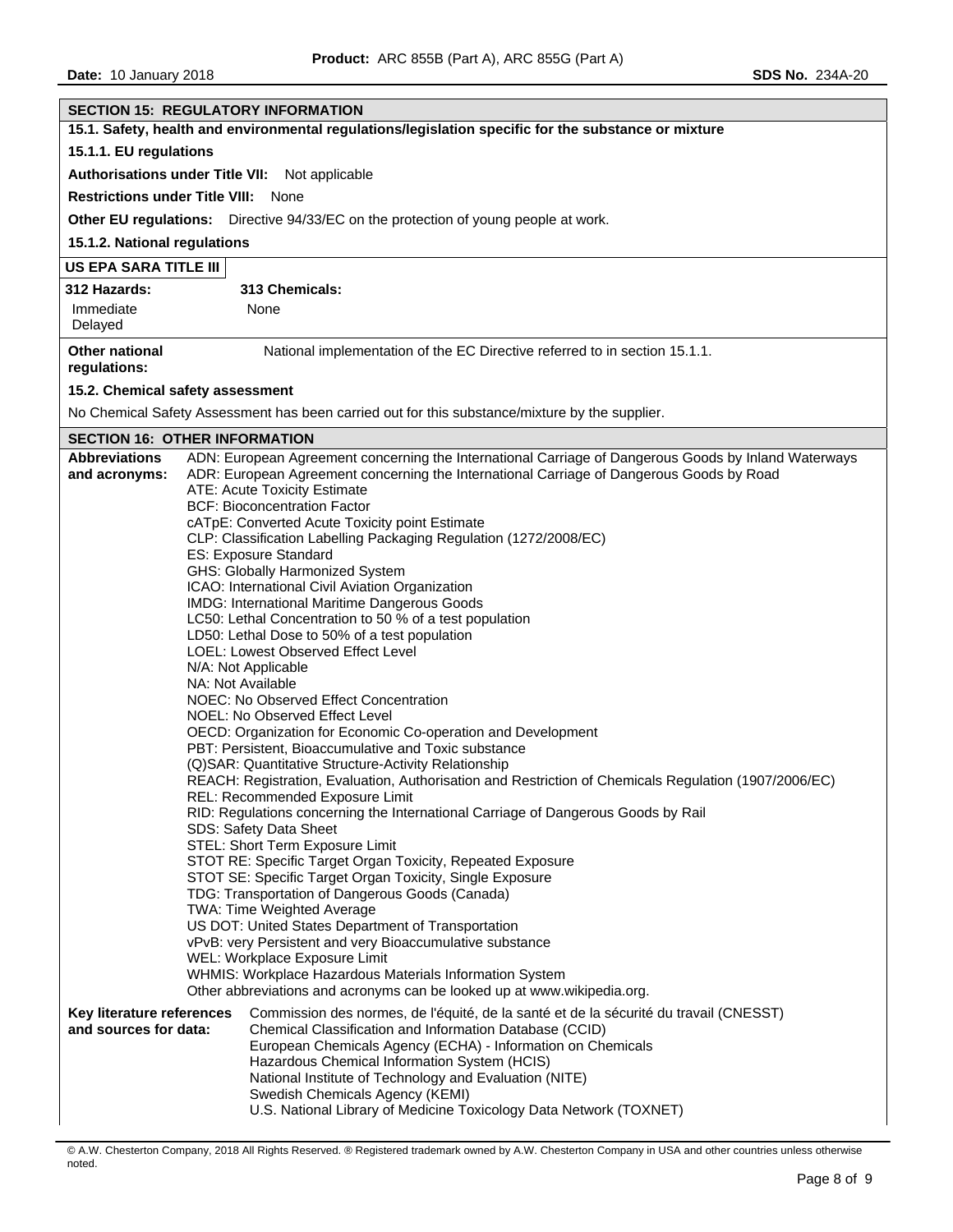| <b>SECTION 15: REGULATORY INFORMATION</b>                                                                                                                                                              |  |  |  |  |
|--------------------------------------------------------------------------------------------------------------------------------------------------------------------------------------------------------|--|--|--|--|
| 15.1. Safety, health and environmental regulations/legislation specific for the substance or mixture                                                                                                   |  |  |  |  |
| 15.1.1. EU regulations                                                                                                                                                                                 |  |  |  |  |
| Authorisations under Title VII: Not applicable                                                                                                                                                         |  |  |  |  |
| <b>Restrictions under Title VIII: None</b>                                                                                                                                                             |  |  |  |  |
| Other EU regulations: Directive 94/33/EC on the protection of young people at work.                                                                                                                    |  |  |  |  |
| 15.1.2. National regulations                                                                                                                                                                           |  |  |  |  |
| US EPA SARA TITLE III                                                                                                                                                                                  |  |  |  |  |
| 313 Chemicals:<br>312 Hazards:                                                                                                                                                                         |  |  |  |  |
| Immediate<br>None                                                                                                                                                                                      |  |  |  |  |
| Delayed                                                                                                                                                                                                |  |  |  |  |
| <b>Other national</b><br>National implementation of the EC Directive referred to in section 15.1.1.<br>regulations:                                                                                    |  |  |  |  |
| 15.2. Chemical safety assessment                                                                                                                                                                       |  |  |  |  |
| No Chemical Safety Assessment has been carried out for this substance/mixture by the supplier.                                                                                                         |  |  |  |  |
| <b>SECTION 16: OTHER INFORMATION</b>                                                                                                                                                                   |  |  |  |  |
| ADN: European Agreement concerning the International Carriage of Dangerous Goods by Inland Waterways<br><b>Abbreviations</b>                                                                           |  |  |  |  |
| and acronyms:<br>ADR: European Agreement concerning the International Carriage of Dangerous Goods by Road<br>ATE: Acute Toxicity Estimate                                                              |  |  |  |  |
| <b>BCF: Bioconcentration Factor</b>                                                                                                                                                                    |  |  |  |  |
| cATpE: Converted Acute Toxicity point Estimate                                                                                                                                                         |  |  |  |  |
| CLP: Classification Labelling Packaging Regulation (1272/2008/EC)                                                                                                                                      |  |  |  |  |
| ES: Exposure Standard<br>GHS: Globally Harmonized System                                                                                                                                               |  |  |  |  |
| ICAO: International Civil Aviation Organization                                                                                                                                                        |  |  |  |  |
| IMDG: International Maritime Dangerous Goods                                                                                                                                                           |  |  |  |  |
| LC50: Lethal Concentration to 50 % of a test population                                                                                                                                                |  |  |  |  |
| LD50: Lethal Dose to 50% of a test population                                                                                                                                                          |  |  |  |  |
| LOEL: Lowest Observed Effect Level<br>N/A: Not Applicable                                                                                                                                              |  |  |  |  |
| NA: Not Available                                                                                                                                                                                      |  |  |  |  |
| NOEC: No Observed Effect Concentration                                                                                                                                                                 |  |  |  |  |
| NOEL: No Observed Effect Level                                                                                                                                                                         |  |  |  |  |
| OECD: Organization for Economic Co-operation and Development<br>PBT: Persistent, Bioaccumulative and Toxic substance                                                                                   |  |  |  |  |
| (Q)SAR: Quantitative Structure-Activity Relationship                                                                                                                                                   |  |  |  |  |
| REACH: Registration, Evaluation, Authorisation and Restriction of Chemicals Regulation (1907/2006/EC)                                                                                                  |  |  |  |  |
| REL: Recommended Exposure Limit                                                                                                                                                                        |  |  |  |  |
| RID: Regulations concerning the International Carriage of Dangerous Goods by Rail                                                                                                                      |  |  |  |  |
| SDS: Safety Data Sheet<br>STEL: Short Term Exposure Limit                                                                                                                                              |  |  |  |  |
| STOT RE: Specific Target Organ Toxicity, Repeated Exposure                                                                                                                                             |  |  |  |  |
| STOT SE: Specific Target Organ Toxicity, Single Exposure                                                                                                                                               |  |  |  |  |
| TDG: Transportation of Dangerous Goods (Canada)                                                                                                                                                        |  |  |  |  |
| TWA: Time Weighted Average<br>US DOT: United States Department of Transportation                                                                                                                       |  |  |  |  |
| vPvB: very Persistent and very Bioaccumulative substance                                                                                                                                               |  |  |  |  |
| WEL: Workplace Exposure Limit                                                                                                                                                                          |  |  |  |  |
| WHMIS: Workplace Hazardous Materials Information System                                                                                                                                                |  |  |  |  |
| Other abbreviations and acronyms can be looked up at www.wikipedia.org.                                                                                                                                |  |  |  |  |
| Commission des normes, de l'équité, de la santé et de la sécurité du travail (CNESST)<br>Key literature references<br>and sources for data:<br>Chemical Classification and Information Database (CCID) |  |  |  |  |
| European Chemicals Agency (ECHA) - Information on Chemicals                                                                                                                                            |  |  |  |  |
| Hazardous Chemical Information System (HCIS)                                                                                                                                                           |  |  |  |  |
| National Institute of Technology and Evaluation (NITE)                                                                                                                                                 |  |  |  |  |
| Swedish Chemicals Agency (KEMI)                                                                                                                                                                        |  |  |  |  |
| U.S. National Library of Medicine Toxicology Data Network (TOXNET)                                                                                                                                     |  |  |  |  |

<sup>©</sup> A.W. Chesterton Company, 2018 All Rights Reserved. ® Registered trademark owned by A.W. Chesterton Company in USA and other countries unless otherwise noted.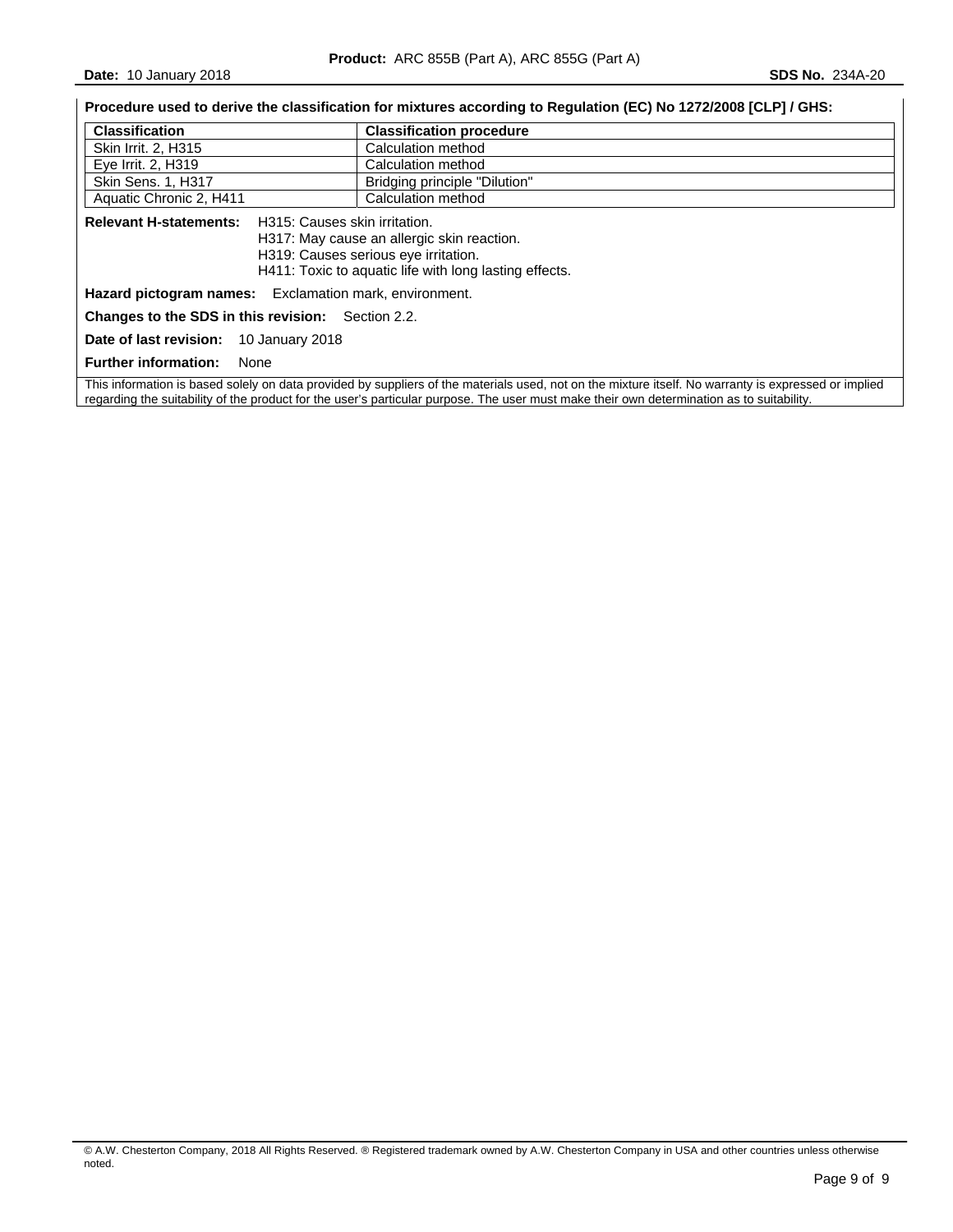**Date:** 10 January 2018 **SDS No. 234A-20** 

|                                                                                                                                                                                                                | Procedure used to derive the classification for mixtures according to Regulation (EC) No 1272/2008 [CLP] / GHS:                                      |  |  |
|----------------------------------------------------------------------------------------------------------------------------------------------------------------------------------------------------------------|------------------------------------------------------------------------------------------------------------------------------------------------------|--|--|
| <b>Classification</b>                                                                                                                                                                                          | <b>Classification procedure</b>                                                                                                                      |  |  |
| Calculation method<br>Skin Irrit. 2, H315                                                                                                                                                                      |                                                                                                                                                      |  |  |
| Eye Irrit. 2, H319                                                                                                                                                                                             | Calculation method                                                                                                                                   |  |  |
| Skin Sens. 1, H317                                                                                                                                                                                             | Bridging principle "Dilution"                                                                                                                        |  |  |
| Aquatic Chronic 2, H411                                                                                                                                                                                        | Calculation method                                                                                                                                   |  |  |
| <b>Relevant H-statements:</b><br>H315: Causes skin irritation.<br>H317: May cause an allergic skin reaction.<br>H319: Causes serious eye irritation.<br>H411: Toxic to aquatic life with long lasting effects. |                                                                                                                                                      |  |  |
| Hazard pictogram names: Exclamation mark, environment.                                                                                                                                                         |                                                                                                                                                      |  |  |
| <b>Changes to the SDS in this revision:</b> Section 2.2.                                                                                                                                                       |                                                                                                                                                      |  |  |
| <b>Date of last revision:</b> 10 January 2018                                                                                                                                                                  |                                                                                                                                                      |  |  |
| <b>Further information:</b><br>None                                                                                                                                                                            |                                                                                                                                                      |  |  |
|                                                                                                                                                                                                                | This information is based solely on data provided by suppliers of the materials used, not on the mixture itself. No warranty is expressed or implied |  |  |

regarding the suitability of the product for the user's particular purpose. The user must make their own determination as to suitability.

© A.W. Chesterton Company, 2018 All Rights Reserved. ® Registered trademark owned by A.W. Chesterton Company in USA and other countries unless otherwise noted.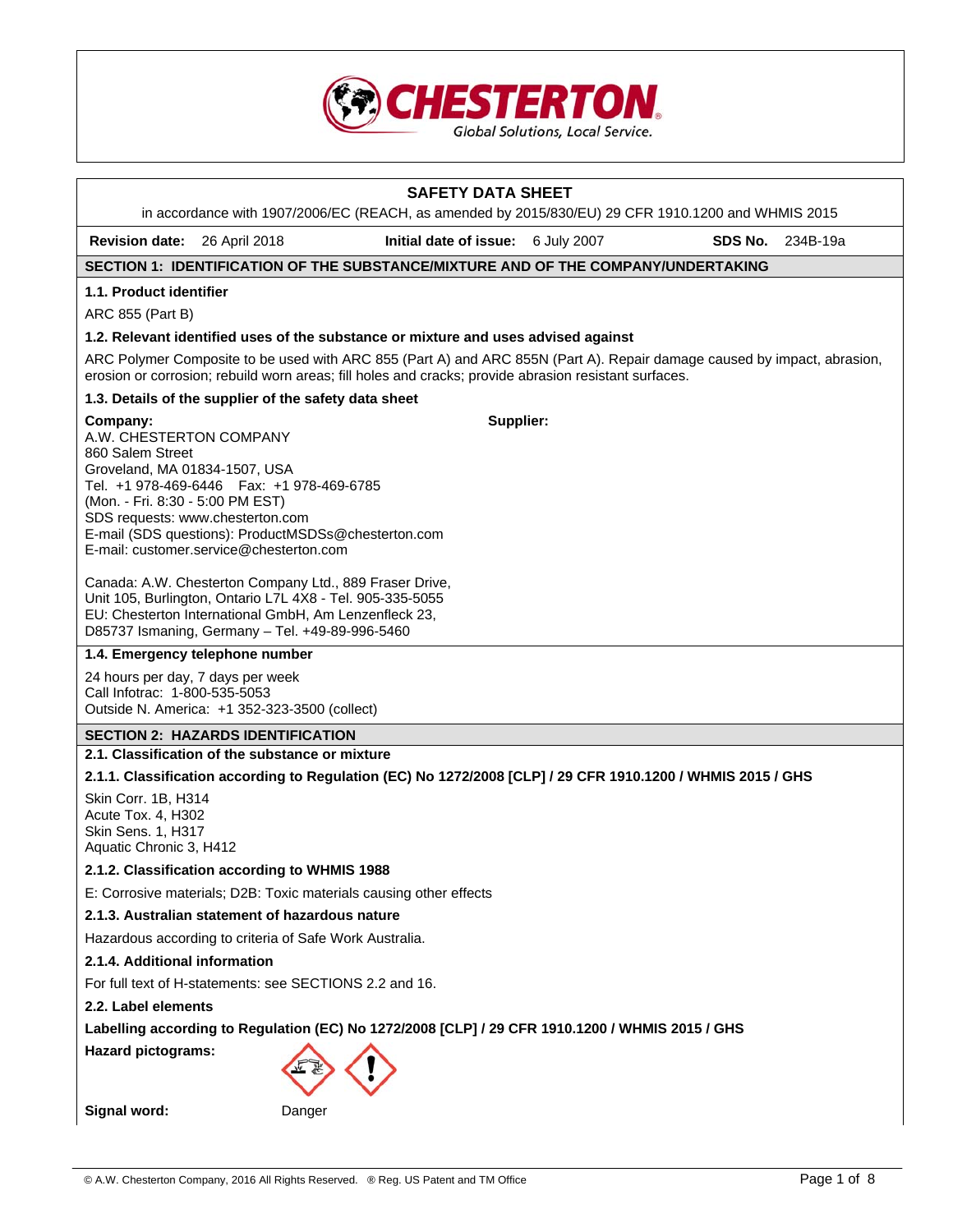

# **SAFETY DATA SHEET**  in accordance with 1907/2006/EC (REACH, as amended by 2015/830/EU) 29 CFR 1910.1200 and WHMIS 2015 **Revision date:** 26 April 2018 **Initial date of issue:** 6 July 2007 **SDS No.** 234B-19a **SECTION 1: IDENTIFICATION OF THE SUBSTANCE/MIXTURE AND OF THE COMPANY/UNDERTAKING 1.1. Product identifier**  ARC 855 (Part B) **1.2. Relevant identified uses of the substance or mixture and uses advised against**  ARC Polymer Composite to be used with ARC 855 (Part A) and ARC 855N (Part A). Repair damage caused by impact, abrasion, erosion or corrosion; rebuild worn areas; fill holes and cracks; provide abrasion resistant surfaces. **1.3. Details of the supplier of the safety data sheet Company:** A.W. CHESTERTON COMPANY 860 Salem Street Groveland, MA 01834-1507, USA Tel. +1 978-469-6446 Fax: +1 978-469-6785 (Mon. - Fri. 8:30 - 5:00 PM EST) SDS requests: www.chesterton.com E-mail (SDS questions): ProductMSDSs@chesterton.com E-mail: customer.service@chesterton.com Canada: A.W. Chesterton Company Ltd., 889 Fraser Drive, Unit 105, Burlington, Ontario L7L 4X8 - Tel. 905-335-5055 EU: Chesterton International GmbH, Am Lenzenfleck 23, D85737 Ismaning, Germany – Tel. +49-89-996-5460 **Supplier: 1.4. Emergency telephone number**  24 hours per day, 7 days per week Call Infotrac: 1-800-535-5053 Outside N. America: +1 352-323-3500 (collect) **SECTION 2: HAZARDS IDENTIFICATION 2.1. Classification of the substance or mixture 2.1.1. Classification according to Regulation (EC) No 1272/2008 [CLP] / 29 CFR 1910.1200 / WHMIS 2015 / GHS**  Skin Corr. 1B, H314 Acute Tox. 4, H302 Skin Sens. 1, H317 Aquatic Chronic 3, H412 **2.1.2. Classification according to WHMIS 1988**  E: Corrosive materials; D2B: Toxic materials causing other effects **2.1.3. Australian statement of hazardous nature**  Hazardous according to criteria of Safe Work Australia. **2.1.4. Additional information**  For full text of H-statements: see SECTIONS 2.2 and 16. **2.2. Label elements Labelling according to Regulation (EC) No 1272/2008 [CLP] / 29 CFR 1910.1200 / WHMIS 2015 / GHS Hazard pictograms: Signal word:** Danger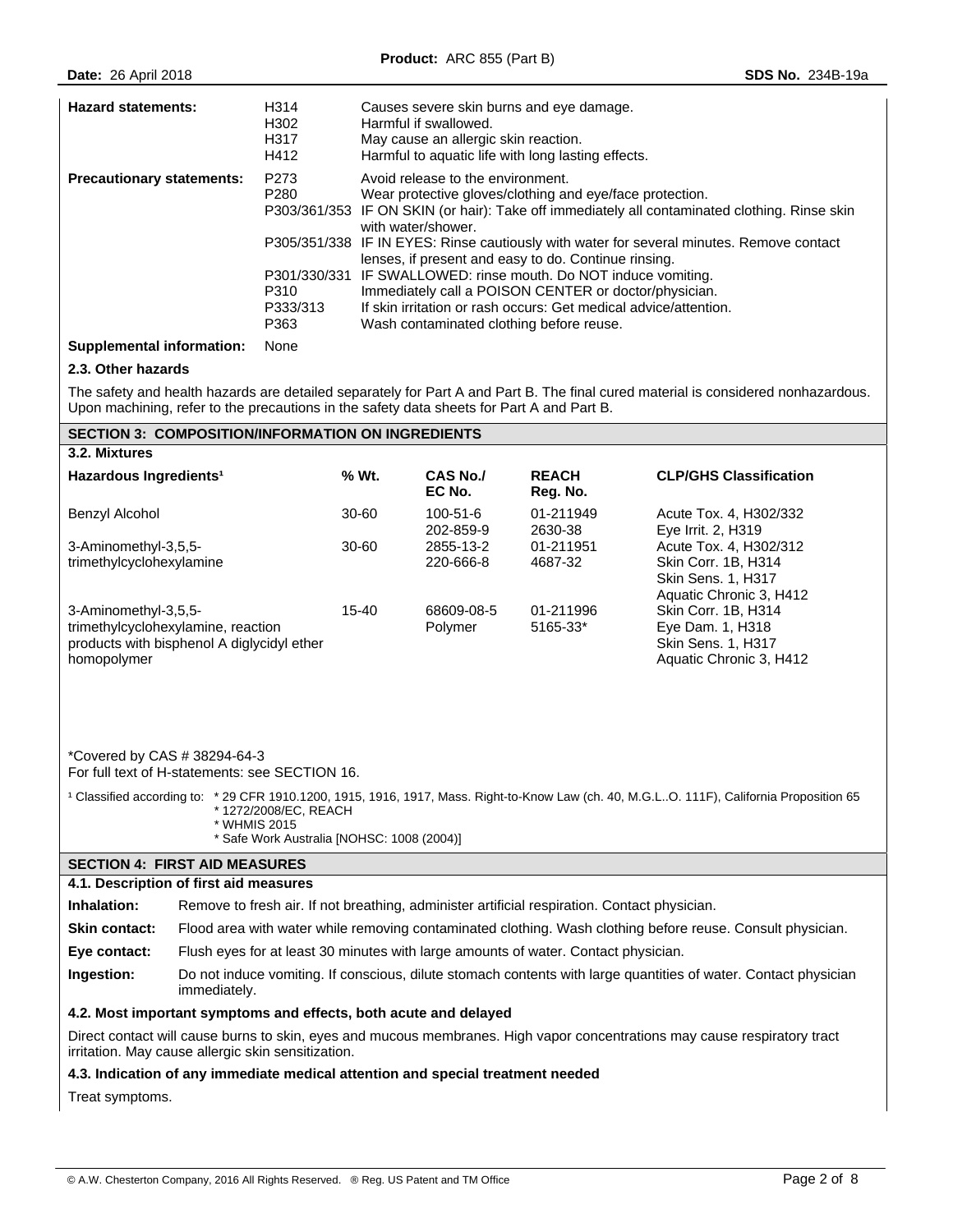| <b>Hazard statements:</b>        | H314<br>H <sub>302</sub><br>H317<br>H412             | Causes severe skin burns and eye damage.<br>Harmful if swallowed.<br>May cause an allergic skin reaction.<br>Harmful to aquatic life with long lasting effects.                                                                                                                                                                                                                                                                                                                                                                                                                                                      |
|----------------------------------|------------------------------------------------------|----------------------------------------------------------------------------------------------------------------------------------------------------------------------------------------------------------------------------------------------------------------------------------------------------------------------------------------------------------------------------------------------------------------------------------------------------------------------------------------------------------------------------------------------------------------------------------------------------------------------|
| <b>Precautionary statements:</b> | P273<br>P <sub>280</sub><br>P310<br>P333/313<br>P363 | Avoid release to the environment.<br>Wear protective gloves/clothing and eye/face protection.<br>P303/361/353 IF ON SKIN (or hair): Take off immediately all contaminated clothing. Rinse skin<br>with water/shower.<br>P305/351/338 IF IN EYES: Rinse cautiously with water for several minutes. Remove contact<br>lenses, if present and easy to do. Continue rinsing.<br>P301/330/331 IF SWALLOWED: rinse mouth. Do NOT induce vomiting.<br>Immediately call a POISON CENTER or doctor/physician.<br>If skin irritation or rash occurs: Get medical advice/attention.<br>Wash contaminated clothing before reuse. |

#### **Supplemental information:** None

## **2.3. Other hazards**

The safety and health hazards are detailed separately for Part A and Part B. The final cured material is considered nonhazardous. Upon machining, refer to the precautions in the safety data sheets for Part A and Part B.

#### **SECTION 3: COMPOSITION/INFORMATION ON INGREDIENTS**

| 3.2. Mixtures                                                                                                           |       |                           |                          |                                                                                                       |
|-------------------------------------------------------------------------------------------------------------------------|-------|---------------------------|--------------------------|-------------------------------------------------------------------------------------------------------|
| Hazardous Ingredients <sup>1</sup>                                                                                      | % Wt. | <b>CAS No./</b><br>EC No. | <b>REACH</b><br>Reg. No. | <b>CLP/GHS Classification</b>                                                                         |
| Benzyl Alcohol                                                                                                          | 30-60 | 100-51-6<br>202-859-9     | 01-211949<br>2630-38     | Acute Tox. 4, H302/332<br>Eye Irrit. 2, H319                                                          |
| 3-Aminomethyl-3,5,5-<br>trimethylcyclohexylamine                                                                        | 30-60 | 2855-13-2<br>220-666-8    | 01-211951<br>4687-32     | Acute Tox. 4. H302/312<br>Skin Corr. 1B, H314<br><b>Skin Sens. 1, H317</b><br>Aquatic Chronic 3, H412 |
| 3-Aminomethyl-3,5,5-<br>trimethylcyclohexylamine, reaction<br>products with bisphenol A diglycidyl ether<br>homopolymer | 15-40 | 68609-08-5<br>Polymer     | 01-211996<br>5165-33*    | Skin Corr. 1B, H314<br>Eye Dam. 1, H318<br><b>Skin Sens. 1, H317</b><br>Aquatic Chronic 3, H412       |

\*Covered by CAS # 38294-64-3 For full text of H-statements: see SECTION 16.

<sup>1</sup> Classified according to: \* 29 CFR 1910.1200, 1915, 1916, 1917, Mass. Right-to-Know Law (ch. 40, M.G.L..O. 111F), California Proposition 65 \* 1272/2008/EC, REACH

- \* WHMIS 2015
- \* Safe Work Australia [NOHSC: 1008 (2004)]

# **SECTION 4: FIRST AID MEASURES**

#### **4.1. Description of first aid measures**

**Inhalation:** Remove to fresh air. If not breathing, administer artificial respiration. Contact physician.

Skin contact: Flood area with water while removing contaminated clothing. Wash clothing before reuse. Consult physician.

**Eye contact:** Flush eyes for at least 30 minutes with large amounts of water. Contact physician.

**Ingestion:** Do not induce vomiting. If conscious, dilute stomach contents with large quantities of water. Contact physician immediately.

## **4.2. Most important symptoms and effects, both acute and delayed**

Direct contact will cause burns to skin, eyes and mucous membranes. High vapor concentrations may cause respiratory tract irritation. May cause allergic skin sensitization.

## **4.3. Indication of any immediate medical attention and special treatment needed**

Treat symptoms.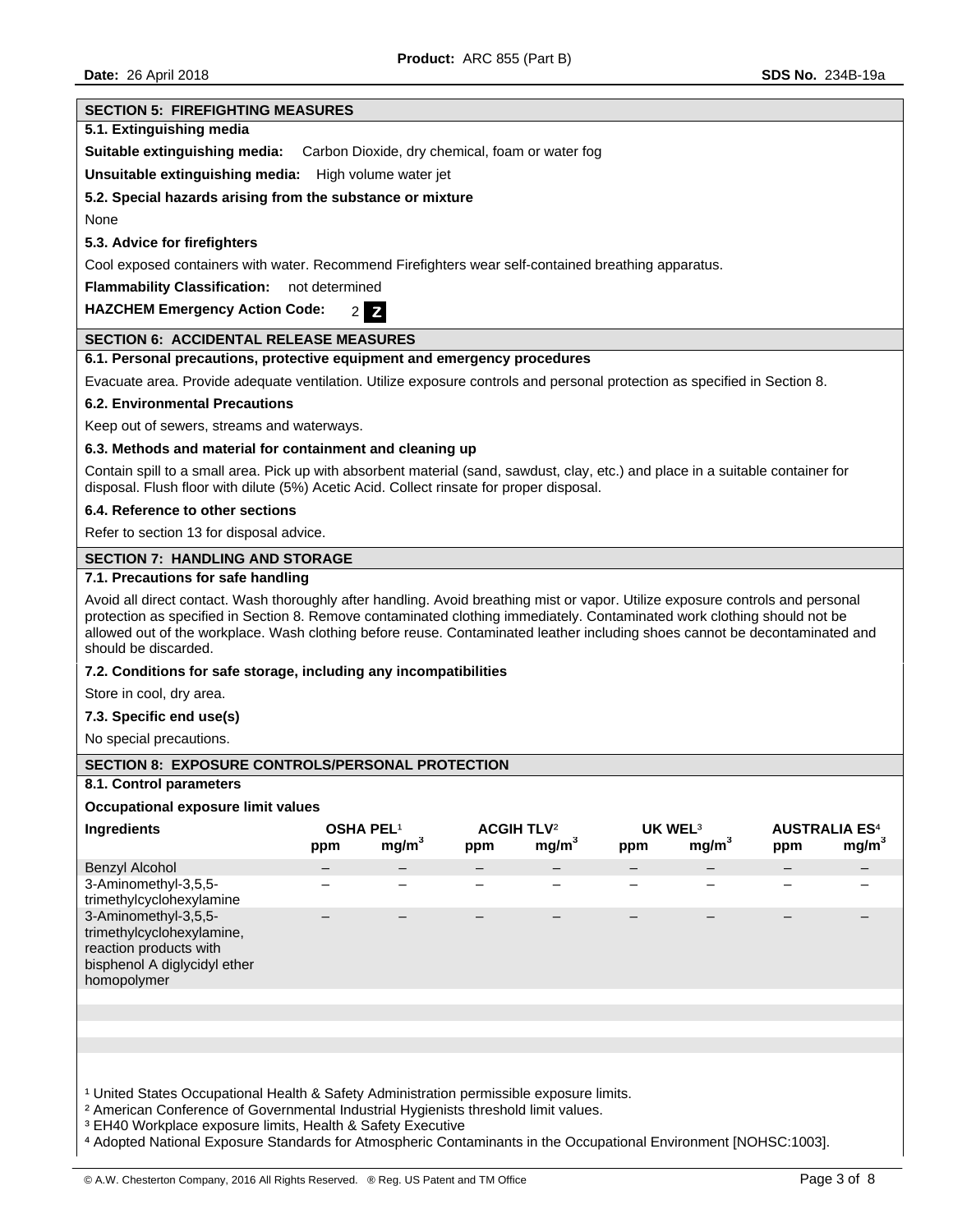# **SECTION 5: FIREFIGHTING MEASURES 5.1. Extinguishing media Suitable extinguishing media:** Carbon Dioxide, dry chemical, foam or water fog **Unsuitable extinguishing media:** High volume water jet **5.2. Special hazards arising from the substance or mixture**  None **5.3. Advice for firefighters**  Cool exposed containers with water. Recommend Firefighters wear self-contained breathing apparatus. **Flammability Classification:** not determined **HAZCHEM Emergency Action Code:** 2 **Z SECTION 6: ACCIDENTAL RELEASE MEASURES 6.1. Personal precautions, protective equipment and emergency procedures**  Evacuate area. Provide adequate ventilation. Utilize exposure controls and personal protection as specified in Section 8. **6.2. Environmental Precautions**  Keep out of sewers, streams and waterways. **6.3. Methods and material for containment and cleaning up**  Contain spill to a small area. Pick up with absorbent material (sand, sawdust, clay, etc.) and place in a suitable container for disposal. Flush floor with dilute (5%) Acetic Acid. Collect rinsate for proper disposal. **6.4. Reference to other sections**  Refer to section 13 for disposal advice. **SECTION 7: HANDLING AND STORAGE 7.1. Precautions for safe handling**  Avoid all direct contact. Wash thoroughly after handling. Avoid breathing mist or vapor. Utilize exposure controls and personal protection as specified in Section 8. Remove contaminated clothing immediately. Contaminated work clothing should not be allowed out of the workplace. Wash clothing before reuse. Contaminated leather including shoes cannot be decontaminated and should be discarded. **7.2. Conditions for safe storage, including any incompatibilities**  Store in cool, dry area. **7.3. Specific end use(s)**  No special precautions. **SECTION 8: EXPOSURE CONTROLS/PERSONAL PROTECTION 8.1. Control parameters Occupational exposure limit values Ingredients OSHA PEL**¹ **ACGIH TLV**² **UK WEL**³ **AUSTRALIA ES**⁴ **ppm mg/m3 ppm mg/m3 ppm mg/m3 ppm mg/m3** Benzyl Alcohol 3-Aminomethyl-3,5,5 trimethylcyclohexylamine – – – – – – – – 3-Aminomethyl-3,5,5 trimethylcyclohexylamine, reaction products with bisphenol A diglycidyl ether homopolymer – – – – – – – – <sup>1</sup> United States Occupational Health & Safety Administration permissible exposure limits. <sup>2</sup> American Conference of Governmental Industrial Hygienists threshold limit values. ³ EH40 Workplace exposure limits, Health & Safety Executive

⁴ Adopted National Exposure Standards for Atmospheric Contaminants in the Occupational Environment [NOHSC:1003].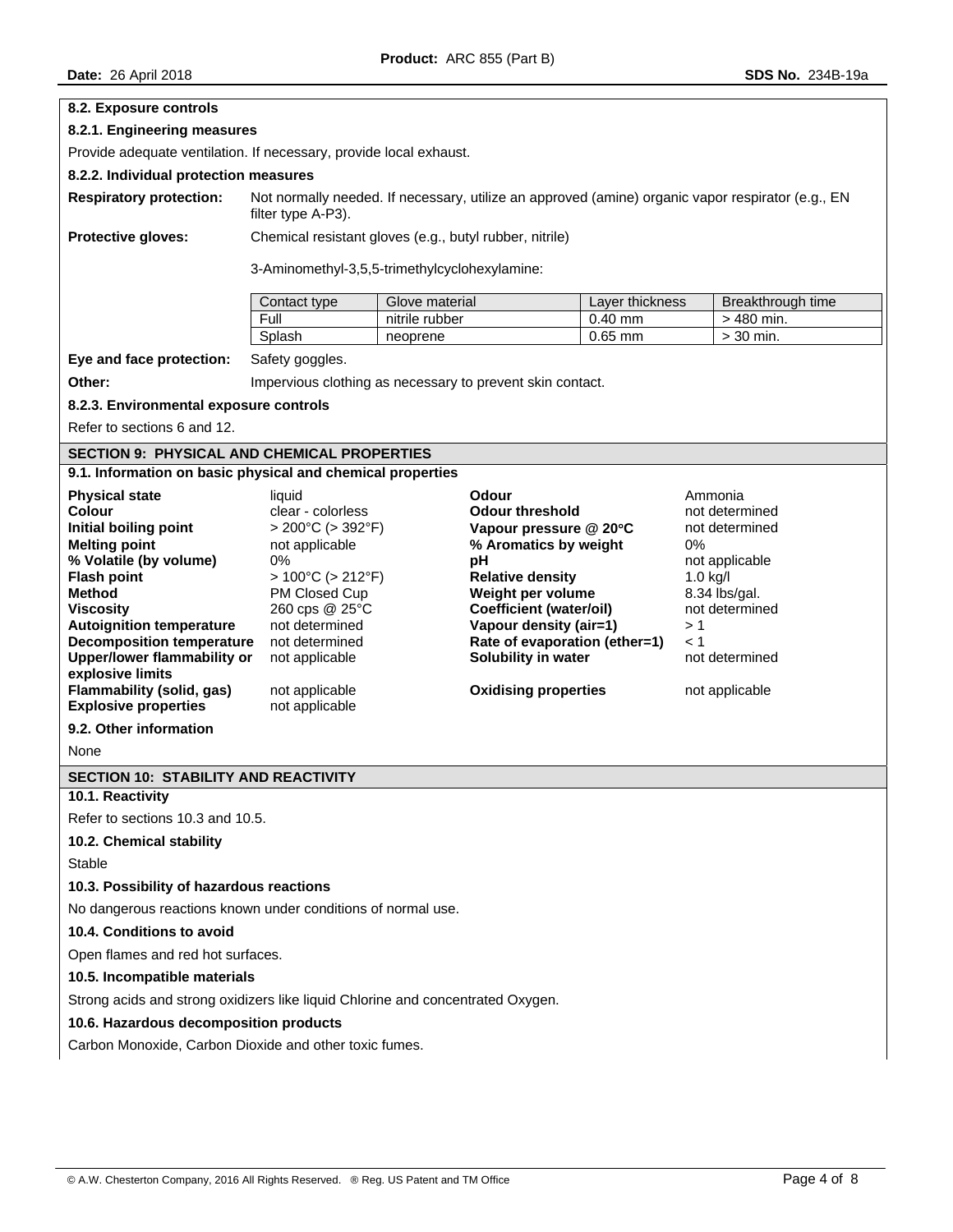| <b>Date: 26 April 2018</b>                                                                                                                                |                                                           |                |                                                 |                      | SDS No. 234B-19a        |
|-----------------------------------------------------------------------------------------------------------------------------------------------------------|-----------------------------------------------------------|----------------|-------------------------------------------------|----------------------|-------------------------|
| 8.2. Exposure controls                                                                                                                                    |                                                           |                |                                                 |                      |                         |
| 8.2.1. Engineering measures                                                                                                                               |                                                           |                |                                                 |                      |                         |
| Provide adequate ventilation. If necessary, provide local exhaust.                                                                                        |                                                           |                |                                                 |                      |                         |
| 8.2.2. Individual protection measures                                                                                                                     |                                                           |                |                                                 |                      |                         |
| Not normally needed. If necessary, utilize an approved (amine) organic vapor respirator (e.g., EN<br><b>Respiratory protection:</b><br>filter type A-P3). |                                                           |                |                                                 |                      |                         |
| Protective gloves:                                                                                                                                        | Chemical resistant gloves (e.g., butyl rubber, nitrile)   |                |                                                 |                      |                         |
|                                                                                                                                                           | 3-Aminomethyl-3,5,5-trimethylcyclohexylamine:             |                |                                                 |                      |                         |
|                                                                                                                                                           |                                                           |                |                                                 |                      |                         |
|                                                                                                                                                           | Contact type                                              | Glove material |                                                 | Layer thickness      | Breakthrough time       |
|                                                                                                                                                           | Full                                                      | nitrile rubber |                                                 | 0.40 mm<br>$0.65$ mm | > 480 min.<br>> 30 min. |
|                                                                                                                                                           | Splash                                                    | neoprene       |                                                 |                      |                         |
| Eye and face protection:                                                                                                                                  | Safety goggles.                                           |                |                                                 |                      |                         |
| Other:                                                                                                                                                    | Impervious clothing as necessary to prevent skin contact. |                |                                                 |                      |                         |
| 8.2.3. Environmental exposure controls                                                                                                                    |                                                           |                |                                                 |                      |                         |
| Refer to sections 6 and 12.                                                                                                                               |                                                           |                |                                                 |                      |                         |
| <b>SECTION 9: PHYSICAL AND CHEMICAL PROPERTIES</b>                                                                                                        |                                                           |                |                                                 |                      |                         |
| 9.1. Information on basic physical and chemical properties                                                                                                |                                                           |                |                                                 |                      |                         |
| <b>Physical state</b>                                                                                                                                     | liquid                                                    |                | Odour                                           |                      | Ammonia                 |
| <b>Colour</b>                                                                                                                                             | clear - colorless                                         |                | <b>Odour threshold</b>                          |                      | not determined          |
| Initial boiling point<br><b>Melting point</b>                                                                                                             | $> 200^{\circ}$ C ( $> 392^{\circ}$ F)                    |                | Vapour pressure @ 20°C<br>% Aromatics by weight |                      | not determined<br>0%    |
| % Volatile (by volume)                                                                                                                                    | not applicable<br>0%                                      |                | рH                                              |                      | not applicable          |
| <b>Flash point</b>                                                                                                                                        | $>100^{\circ}$ C ( $>212^{\circ}$ F)                      |                | <b>Relative density</b>                         |                      | $1.0$ kg/l              |
| <b>Method</b>                                                                                                                                             | PM Closed Cup                                             |                | Weight per volume                               |                      | 8.34 lbs/gal.           |
| <b>Viscosity</b>                                                                                                                                          | 260 cps @ 25°C                                            |                | <b>Coefficient (water/oil)</b>                  |                      | not determined          |
| <b>Autoignition temperature</b>                                                                                                                           | not determined                                            |                | Vapour density (air=1)                          |                      | >1                      |
| <b>Decomposition temperature</b>                                                                                                                          | not determined                                            |                | Rate of evaporation (ether=1)                   |                      | $\leq 1$                |
| <b>Upper/lower flammability or</b><br>explosive limits                                                                                                    | not applicable                                            |                | Solubility in water                             |                      | not determined          |
| Flammability (solid, gas)                                                                                                                                 | not applicable                                            |                | <b>Oxidising properties</b>                     |                      | not applicable          |
| <b>Explosive properties</b>                                                                                                                               | not applicable                                            |                |                                                 |                      |                         |
| 9.2. Other information                                                                                                                                    |                                                           |                |                                                 |                      |                         |
| None                                                                                                                                                      |                                                           |                |                                                 |                      |                         |
| SECTION 10: STABILITY AND REACTIVITY                                                                                                                      |                                                           |                |                                                 |                      |                         |
|                                                                                                                                                           | 10.1. Reactivity                                          |                |                                                 |                      |                         |
| Refer to sections 10.3 and 10.5.<br>10.2. Chemical stability                                                                                              |                                                           |                |                                                 |                      |                         |
| Stable                                                                                                                                                    |                                                           |                |                                                 |                      |                         |
| 10.3. Possibility of hazardous reactions                                                                                                                  |                                                           |                |                                                 |                      |                         |
| No dangerous reactions known under conditions of normal use.                                                                                              |                                                           |                |                                                 |                      |                         |

# **10.4. Conditions to avoid**

Open flames and red hot surfaces.

# **10.5. Incompatible materials**

Strong acids and strong oxidizers like liquid Chlorine and concentrated Oxygen.

## **10.6. Hazardous decomposition products**

Carbon Monoxide, Carbon Dioxide and other toxic fumes.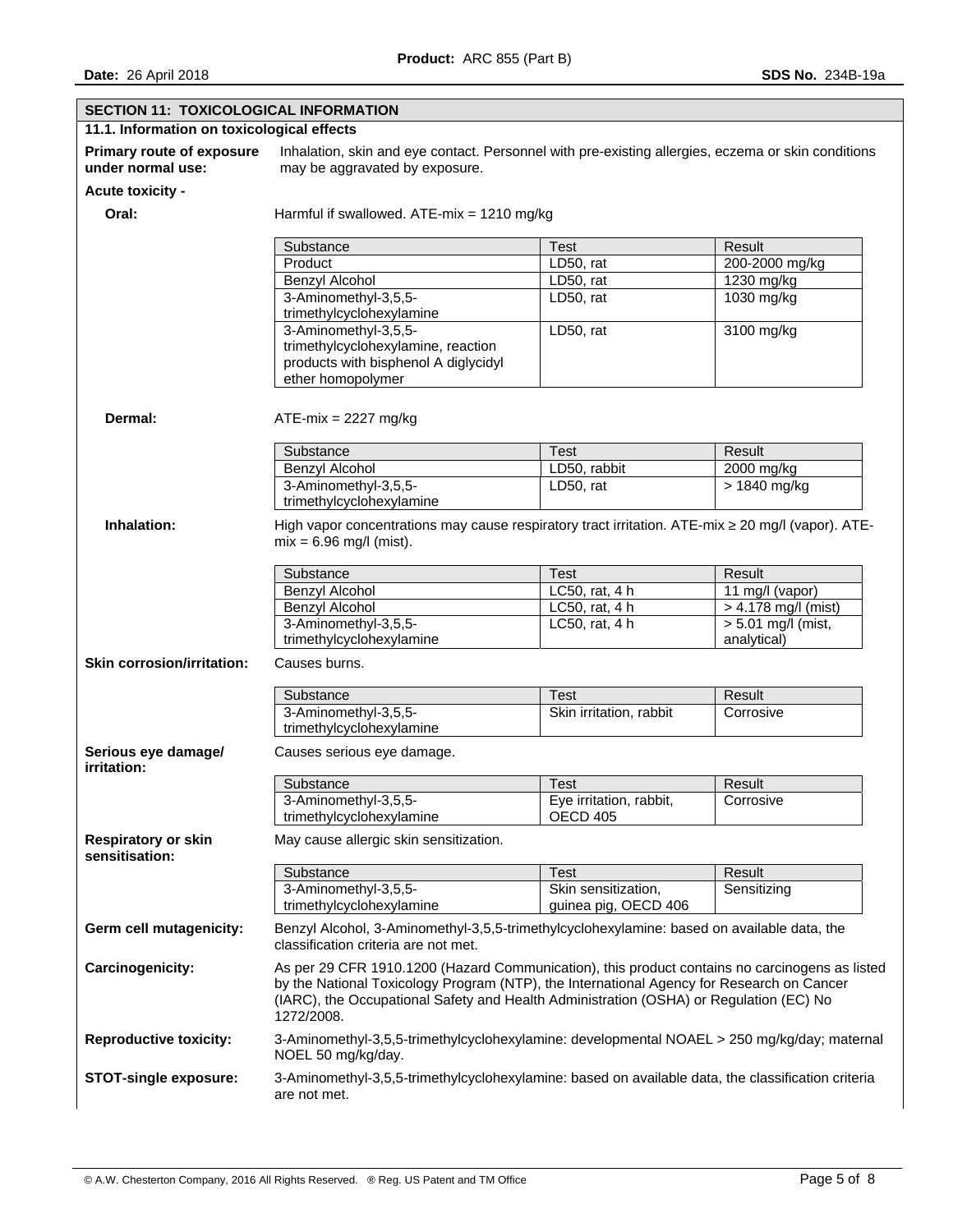| <b>SECTION 11: TOXICOLOGICAL INFORMATION</b>          |                                                                                                                                                                                                                                                                                                     |                         |                                     |  |  |
|-------------------------------------------------------|-----------------------------------------------------------------------------------------------------------------------------------------------------------------------------------------------------------------------------------------------------------------------------------------------------|-------------------------|-------------------------------------|--|--|
| 11.1. Information on toxicological effects            |                                                                                                                                                                                                                                                                                                     |                         |                                     |  |  |
| <b>Primary route of exposure</b><br>under normal use: | Inhalation, skin and eye contact. Personnel with pre-existing allergies, eczema or skin conditions<br>may be aggravated by exposure.                                                                                                                                                                |                         |                                     |  |  |
| Acute toxicity -                                      |                                                                                                                                                                                                                                                                                                     |                         |                                     |  |  |
| Oral:                                                 | Harmful if swallowed. ATE-mix = $1210$ mg/kg                                                                                                                                                                                                                                                        |                         |                                     |  |  |
|                                                       | Substance                                                                                                                                                                                                                                                                                           | Test                    | Result                              |  |  |
|                                                       | Product                                                                                                                                                                                                                                                                                             | LD50, rat               | 200-2000 mg/kg                      |  |  |
|                                                       | <b>Benzyl Alcohol</b>                                                                                                                                                                                                                                                                               | LD50, rat               | 1230 mg/kg                          |  |  |
|                                                       | 3-Aminomethyl-3,5,5-                                                                                                                                                                                                                                                                                | LD50, rat               | 1030 mg/kg                          |  |  |
|                                                       | trimethylcyclohexylamine                                                                                                                                                                                                                                                                            |                         |                                     |  |  |
|                                                       | 3-Aminomethyl-3,5,5-<br>trimethylcyclohexylamine, reaction<br>products with bisphenol A diglycidyl<br>ether homopolymer                                                                                                                                                                             | LD50, rat               | 3100 mg/kg                          |  |  |
| Dermal:                                               | $ATE-mix = 2227 mg/kg$                                                                                                                                                                                                                                                                              |                         |                                     |  |  |
|                                                       | Substance                                                                                                                                                                                                                                                                                           | <b>Test</b>             | Result                              |  |  |
|                                                       | <b>Benzyl Alcohol</b>                                                                                                                                                                                                                                                                               | LD50, rabbit            | 2000 mg/kg                          |  |  |
|                                                       | 3-Aminomethyl-3,5,5-<br>trimethylcyclohexylamine                                                                                                                                                                                                                                                    | LD50, rat               | $>1840$ mg/kg                       |  |  |
| Inhalation:                                           | High vapor concentrations may cause respiratory tract irritation. ATE-mix $\geq 20$ mg/l (vapor). ATE-<br>$mix = 6.96$ mg/l (mist).                                                                                                                                                                 |                         |                                     |  |  |
|                                                       | Substance                                                                                                                                                                                                                                                                                           | Test                    | Result                              |  |  |
|                                                       | <b>Benzyl Alcohol</b>                                                                                                                                                                                                                                                                               | LC50, rat, 4 h          | 11 mg/l (vapor)                     |  |  |
|                                                       | Benzyl Alcohol                                                                                                                                                                                                                                                                                      | LC50, rat, 4 h          | > 4.178 mg/l (mist)                 |  |  |
|                                                       | 3-Aminomethyl-3,5,5-<br>trimethylcyclohexylamine                                                                                                                                                                                                                                                    | LC50, rat, 4 h          | $>$ 5.01 mg/l (mist,<br>analytical) |  |  |
| <b>Skin corrosion/irritation:</b>                     | Causes burns.                                                                                                                                                                                                                                                                                       |                         |                                     |  |  |
|                                                       | Substance                                                                                                                                                                                                                                                                                           | Test                    | Result                              |  |  |
|                                                       | 3-Aminomethyl-3,5,5-<br>trimethylcyclohexylamine                                                                                                                                                                                                                                                    | Skin irritation, rabbit | Corrosive                           |  |  |
| Serious eye damagel<br>irritation:                    | Causes serious eye damage.                                                                                                                                                                                                                                                                          |                         |                                     |  |  |
|                                                       | Substance                                                                                                                                                                                                                                                                                           | Test                    | Result                              |  |  |
|                                                       | 3-Aminomethyl-3,5,5-                                                                                                                                                                                                                                                                                | Eye irritation, rabbit, | Corrosive                           |  |  |
|                                                       | trimethylcyclohexylamine                                                                                                                                                                                                                                                                            | <b>OECD 405</b>         |                                     |  |  |
| <b>Respiratory or skin</b><br>sensitisation:          | May cause allergic skin sensitization.                                                                                                                                                                                                                                                              |                         |                                     |  |  |
|                                                       | Substance                                                                                                                                                                                                                                                                                           | Test                    | Result                              |  |  |
|                                                       | 3-Aminomethyl-3,5,5-                                                                                                                                                                                                                                                                                | Skin sensitization,     | Sensitizing                         |  |  |
|                                                       | trimethylcyclohexylamine                                                                                                                                                                                                                                                                            | guinea pig, OECD 406    |                                     |  |  |
| Germ cell mutagenicity:                               | Benzyl Alcohol, 3-Aminomethyl-3,5,5-trimethylcyclohexylamine: based on available data, the<br>classification criteria are not met.                                                                                                                                                                  |                         |                                     |  |  |
| Carcinogenicity:                                      | As per 29 CFR 1910.1200 (Hazard Communication), this product contains no carcinogens as listed<br>by the National Toxicology Program (NTP), the International Agency for Research on Cancer<br>(IARC), the Occupational Safety and Health Administration (OSHA) or Regulation (EC) No<br>1272/2008. |                         |                                     |  |  |
| <b>Reproductive toxicity:</b>                         | 3-Aminomethyl-3,5,5-trimethylcyclohexylamine: developmental NOAEL > 250 mg/kg/day; maternal<br>NOEL 50 mg/kg/day.                                                                                                                                                                                   |                         |                                     |  |  |
| <b>STOT-single exposure:</b>                          | 3-Aminomethyl-3,5,5-trimethylcyclohexylamine: based on available data, the classification criteria<br>are not met.                                                                                                                                                                                  |                         |                                     |  |  |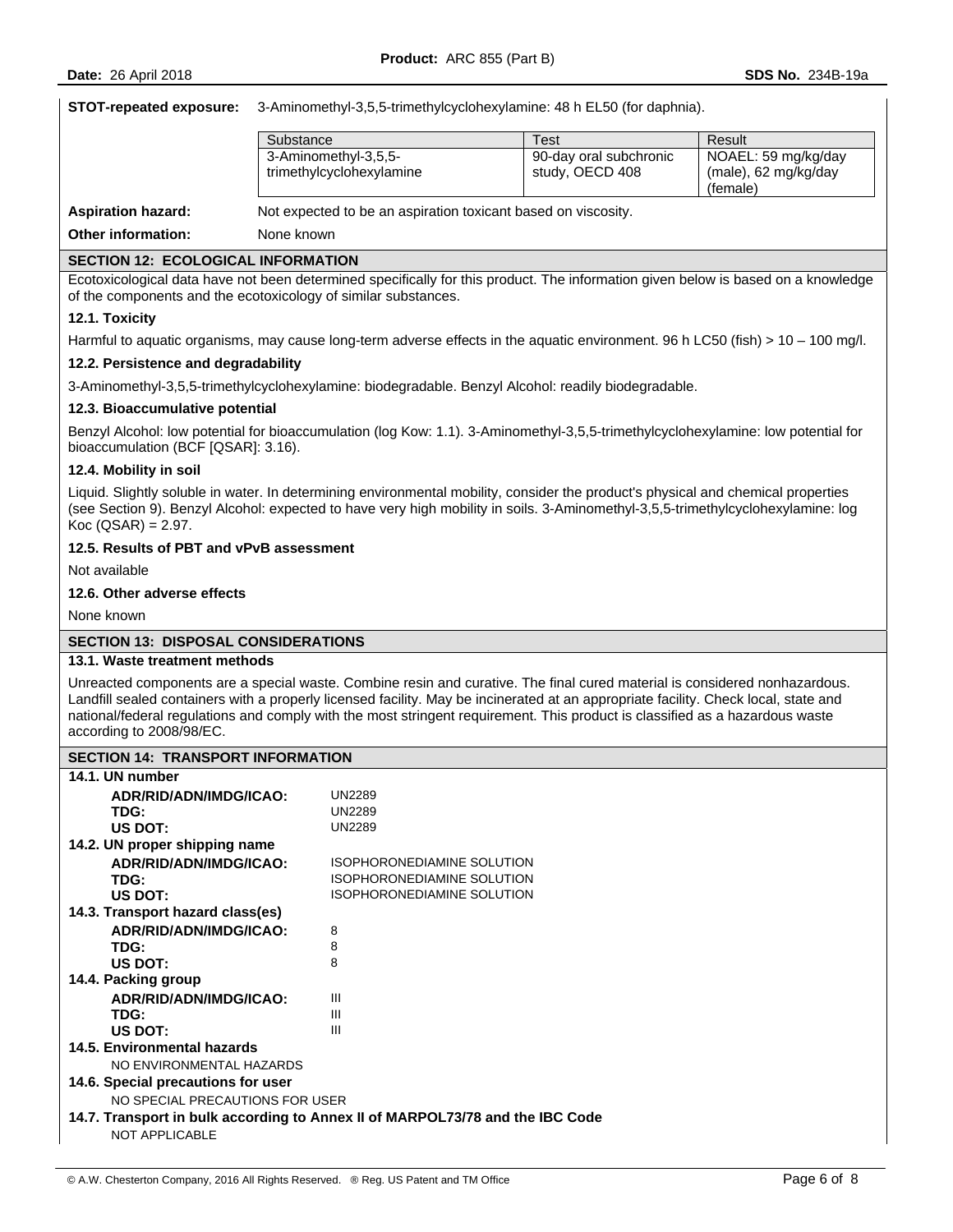**STOT-repeated exposure:** 3-Aminomethyl-3,5,5-trimethylcyclohexylamine: 48 h EL50 (for daphnia).

|                           | Substance                                                     | Test                   | Result               |
|---------------------------|---------------------------------------------------------------|------------------------|----------------------|
|                           | 3-Aminomethyl-3,5,5-                                          | 90-day oral subchronic | NOAEL: 59 mg/kg/day  |
|                           | trimethylcyclohexylamine                                      | study, OECD 408        | (male), 62 mg/kg/day |
|                           |                                                               |                        | (female)             |
| Aspiration hazard:        | Not expected to be an aspiration toxicant based on viscosity. |                        |                      |
| <b>Other information:</b> | None known                                                    |                        |                      |
|                           |                                                               |                        |                      |

#### **SECTION 12: ECOLOGICAL INFORMATION**

Ecotoxicological data have not been determined specifically for this product. The information given below is based on a knowledge of the components and the ecotoxicology of similar substances.

#### **12.1. Toxicity**

Harmful to aquatic organisms, may cause long-term adverse effects in the aquatic environment. 96 h LC50 (fish) > 10 – 100 mg/l.

#### **12.2. Persistence and degradability**

3-Aminomethyl-3,5,5-trimethylcyclohexylamine: biodegradable. Benzyl Alcohol: readily biodegradable.

#### **12.3. Bioaccumulative potential**

Benzyl Alcohol: low potential for bioaccumulation (log Kow: 1.1). 3-Aminomethyl-3,5,5-trimethylcyclohexylamine: low potential for bioaccumulation (BCF [QSAR]: 3.16).

#### **12.4. Mobility in soil**

Liquid. Slightly soluble in water. In determining environmental mobility, consider the product's physical and chemical properties (see Section 9). Benzyl Alcohol: expected to have very high mobility in soils. 3-Aminomethyl-3,5,5-trimethylcyclohexylamine: log  $Koc (QSAR) = 2.97.$ 

# **12.5. Results of PBT and vPvB assessment**

Not available

#### **12.6. Other adverse effects**

None known

# **SECTION 13: DISPOSAL CONSIDERATIONS**

#### **13.1. Waste treatment methods**

Unreacted components are a special waste. Combine resin and curative. The final cured material is considered nonhazardous. Landfill sealed containers with a properly licensed facility. May be incinerated at an appropriate facility. Check local, state and national/federal regulations and comply with the most stringent requirement. This product is classified as a hazardous waste according to 2008/98/EC.

| <b>SECTION 14: TRANSPORT INFORMATION</b>                                      |                                   |  |  |
|-------------------------------------------------------------------------------|-----------------------------------|--|--|
| 14.1. UN number                                                               |                                   |  |  |
| ADR/RID/ADN/IMDG/ICAO:                                                        | <b>UN2289</b>                     |  |  |
| TDG:                                                                          | <b>UN2289</b>                     |  |  |
| US DOT:                                                                       | <b>UN2289</b>                     |  |  |
| 14.2. UN proper shipping name                                                 |                                   |  |  |
| ADR/RID/ADN/IMDG/ICAO:                                                        | ISOPHORONEDIAMINE SOLUTION        |  |  |
| TDG:                                                                          | <b>ISOPHORONEDIAMINE SOLUTION</b> |  |  |
| US DOT:                                                                       | <b>ISOPHORONEDIAMINE SOLUTION</b> |  |  |
| 14.3. Transport hazard class(es)                                              |                                   |  |  |
| ADR/RID/ADN/IMDG/ICAO:                                                        | 8                                 |  |  |
| TDG:                                                                          | 8                                 |  |  |
| US DOT:                                                                       | 8                                 |  |  |
| 14.4. Packing group                                                           |                                   |  |  |
| ADR/RID/ADN/IMDG/ICAO:                                                        | Ш                                 |  |  |
| TDG:                                                                          | Ш                                 |  |  |
| US DOT:                                                                       | III                               |  |  |
| 14.5. Environmental hazards                                                   |                                   |  |  |
| NO ENVIRONMENTAL HAZARDS                                                      |                                   |  |  |
| 14.6. Special precautions for user                                            |                                   |  |  |
| NO SPECIAL PRECAUTIONS FOR USER                                               |                                   |  |  |
| 14.7. Transport in bulk according to Annex II of MARPOL73/78 and the IBC Code |                                   |  |  |
| <b>NOT APPLICABLE</b>                                                         |                                   |  |  |
|                                                                               |                                   |  |  |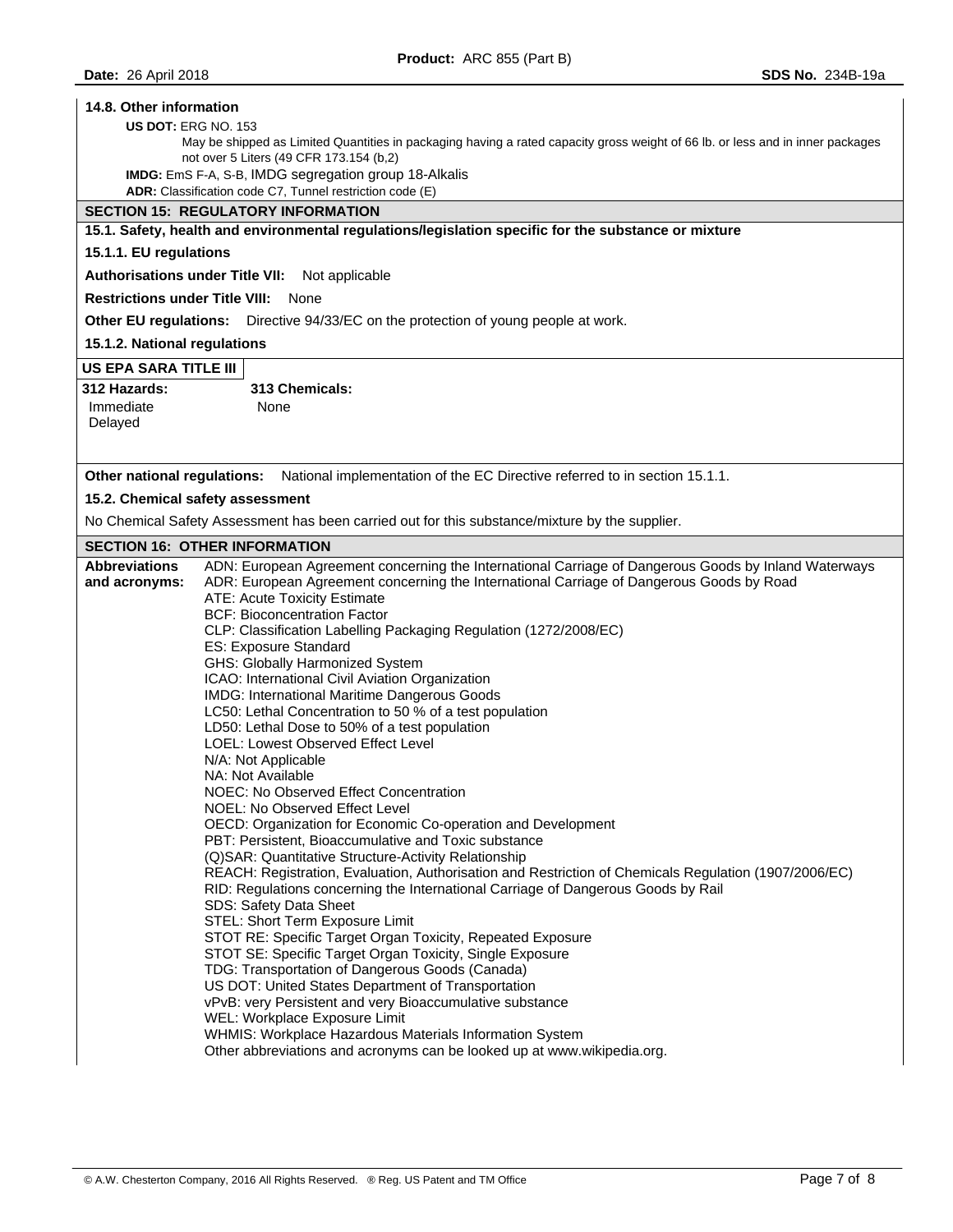#### **14.8. Other information**

#### **US DOT:** ERG NO. 153

May be shipped as Limited Quantities in packaging having a rated capacity gross weight of 66 lb. or less and in inner packages not over 5 Liters (49 CFR 173.154 (b,2)

**IMDG:** EmS F-A, S-B, IMDG segregation group 18-Alkalis

**ADR:** Classification code C7, Tunnel restriction code (E)

# **SECTION 15: REGULATORY INFORMATION**

**15.1. Safety, health and environmental regulations/legislation specific for the substance or mixture** 

#### **15.1.1. EU regulations**

**Authorisations under Title VII:** Not applicable

**Restrictions under Title VIII:** None

**Other EU regulations:** Directive 94/33/EC on the protection of young people at work.

**15.1.2. National regulations** 

#### **US EPA SARA TITLE III**

| 312 Hazards: | 313 Chemicals: |
|--------------|----------------|
| Immediate    | None           |
| Delayed      |                |

**Other national regulations:** National implementation of the EC Directive referred to in section 15.1.1.

#### **15.2. Chemical safety assessment**

No Chemical Safety Assessment has been carried out for this substance/mixture by the supplier.

#### **SECTION 16: OTHER INFORMATION**

| <b>Abbreviations</b> | ADN: European Agreement concerning the International Carriage of Dangerous Goods by Inland Waterways  |  |  |
|----------------------|-------------------------------------------------------------------------------------------------------|--|--|
| and acronyms:        | ADR: European Agreement concerning the International Carriage of Dangerous Goods by Road              |  |  |
|                      | ATE: Acute Toxicity Estimate                                                                          |  |  |
|                      | <b>BCF: Bioconcentration Factor</b>                                                                   |  |  |
|                      | CLP: Classification Labelling Packaging Regulation (1272/2008/EC)<br>ES: Exposure Standard            |  |  |
|                      |                                                                                                       |  |  |
|                      | GHS: Globally Harmonized System                                                                       |  |  |
|                      | ICAO: International Civil Aviation Organization                                                       |  |  |
|                      | IMDG: International Maritime Dangerous Goods                                                          |  |  |
|                      | LC50: Lethal Concentration to 50 % of a test population                                               |  |  |
|                      | LD50: Lethal Dose to 50% of a test population                                                         |  |  |
|                      | LOEL: Lowest Observed Effect Level                                                                    |  |  |
|                      | N/A: Not Applicable                                                                                   |  |  |
|                      | NA: Not Available                                                                                     |  |  |
|                      | NOEC: No Observed Effect Concentration                                                                |  |  |
|                      | NOEL: No Observed Effect Level                                                                        |  |  |
|                      | OECD: Organization for Economic Co-operation and Development                                          |  |  |
|                      | PBT: Persistent, Bioaccumulative and Toxic substance                                                  |  |  |
|                      | (Q) SAR: Quantitative Structure-Activity Relationship                                                 |  |  |
|                      | REACH: Registration, Evaluation, Authorisation and Restriction of Chemicals Regulation (1907/2006/EC) |  |  |
|                      | RID: Regulations concerning the International Carriage of Dangerous Goods by Rail                     |  |  |
|                      | SDS: Safety Data Sheet                                                                                |  |  |
|                      | STEL: Short Term Exposure Limit                                                                       |  |  |
|                      | STOT RE: Specific Target Organ Toxicity, Repeated Exposure                                            |  |  |
|                      | STOT SE: Specific Target Organ Toxicity, Single Exposure                                              |  |  |
|                      | TDG: Transportation of Dangerous Goods (Canada)                                                       |  |  |
|                      | US DOT: United States Department of Transportation                                                    |  |  |
|                      | vPvB: very Persistent and very Bioaccumulative substance                                              |  |  |
|                      | WEL: Workplace Exposure Limit                                                                         |  |  |
|                      | WHMIS: Workplace Hazardous Materials Information System                                               |  |  |
|                      | Other abbreviations and acronyms can be looked up at www.wikipedia.org.                               |  |  |
|                      |                                                                                                       |  |  |